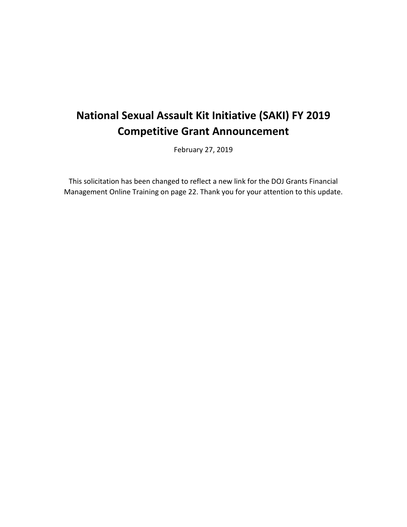# **National Sexual Assault Kit Initiative (SAKI) FY 2019 Competitive Grant Announcement**

February 27, 2019

This solicitation has been changed to reflect a new link for the DOJ Grants Financial Management Online Training on page 22. Thank you for your attention to this update.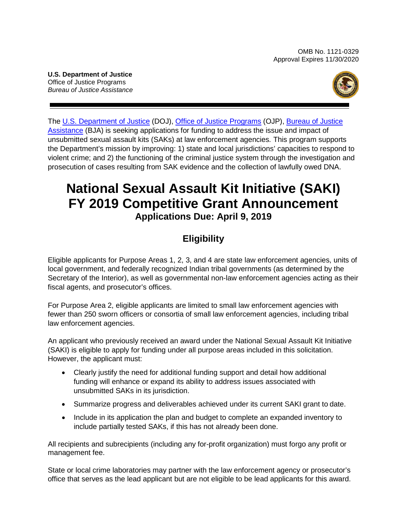<span id="page-1-0"></span> *Bureau of Justice Assistance*  **U.S. Department of Justice**  Office of Justice Programs



[Assistance \(](https://www.bja.gov/)BJA) is seeking applications for funding to address the issue and impact of The [U.S. Department of Justice \(](http://www.justice.gov/)DOJ), [Office of Justice Programs \(](https://ojp.gov/)OJP), [Bureau of Justice](https://www.bja.gov/)  unsubmitted sexual assault kits (SAKs) at law enforcement agencies*.* This program supports the Department's mission by improving: 1) state and local jurisdictions' capacities to respond to violent crime; and 2) the functioning of the criminal justice system through the investigation and prosecution of cases resulting from SAK evidence and the collection of lawfully owed DNA.

# **National Sexual Assault Kit Initiative (SAKI) FY 2019 Competitive Grant Announcement Applications Due: April 9, 2019**

# **Eligibility**

 local government, and federally recognized Indian tribal governments (as determined by the Secretary of the Interior), as well as governmental non-law enforcement agencies acting as their Eligible applicants for Purpose Areas 1, 2, 3, and 4 are state law enforcement agencies, units of fiscal agents, and prosecutor's offices.

For Purpose Area 2, eligible applicants are limited to small law enforcement agencies with fewer than 250 sworn officers or consortia of small law enforcement agencies, including tribal law enforcement agencies.

 (SAKI) is eligible to apply for funding under all purpose areas included in this solicitation. An applicant who previously received an award under the National Sexual Assault Kit Initiative However, the applicant must:

- • Clearly justify the need for additional funding support and detail how additional funding will enhance or expand its ability to address issues associated with unsubmitted SAKs in its jurisdiction.
- Summarize progress and deliverables achieved under its current SAKI grant to date.
- include partially tested SAKs, if this has not already been done. • Include in its application the plan and budget to complete an expanded inventory to

 All recipients and subrecipients (including any for-profit organization) must forgo any profit or management fee.

State or local crime laboratories may partner with the law enforcement agency or prosecutor's office that serves as the lead applicant but are not eligible to be lead applicants for this award.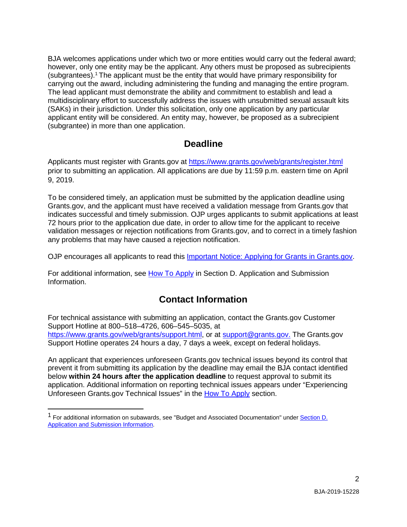The lead applicant must demonstrate the ability and commitment to establish and lead a multidisciplinary effort to successfully address the issues with unsubmitted sexual assault kits BJA welcomes applications under which two or more entities would carry out the federal award; however, only one entity may be the applicant. Any others must be proposed as subrecipients (subgrantees)[.1 T](#page-2-0)he applicant must be the entity that would have primary responsibility for carrying out the award, including administering the funding and managing the entire program. (SAKs) in their jurisdiction. Under this solicitation, only one application by any particular applicant entity will be considered. An entity may, however, be proposed as a subrecipient (subgrantee) in more than one application.

# **Deadline**

Applicants must register with [Grants.gov](https://Grants.gov) at https://www.grants.gov/web/grants/register.html prior to submitting an application. All applications are due by 11:59 p.m. eastern time on April 9, 2019.

 [Grants.gov,](https://Grants.gov) and the applicant must have received a validation message from [Grants.gov](https://Grants.gov) that validation messages or rejection notifications from [Grants.gov](https://Grants.gov), and to correct in a timely fashion To be considered timely, an application must be submitted by the application deadline using indicates successful and timely submission. OJP urges applicants to submit applications at least 72 hours prior to the application due date, in order to allow time for the applicant to receive any problems that may have caused a rejection notification.

OJP encourages all applicants to read this *Important Notice: Applying for Grants in Grants.gov.* 

For additional information, see [How To Apply i](#page-37-0)n Section D. Application and Submission Information.

# **Contact Information**

For technical assistance with submitting an application, contact the [Grants.gov](https://Grants.gov) Customer Support Hotline at 800–518–4726, 606–545–5035, at [https://www.grants.gov/web/grants/support.html,](https://www.grants.gov/web/grants/support.html) or at [support@grants.gov.](mailto:support@grants.gov) The [Grants.gov](https://Grants.gov) Support Hotline operates 24 hours a day, 7 days a week, except on federal holidays.

 An applicant that experiences unforeseen [Grants.gov](https://Grants.gov) technical issues beyond its control that Unforeseen [Grants.gov](https://Grants.gov) Technical Issues" in the [How To Apply s](#page-37-0)ection. prevent it from submitting its application by the deadline may email the BJA contact identified below **within 24 hours after the application deadline** to request approval to submit its application. Additional information on reporting technical issues appears under "Experiencing

<span id="page-2-0"></span><sup>&</sup>lt;sup>1</sup> For additional information on subawards, see "Budget and Associated Documentation" under **Section D.** Application and Submission Information.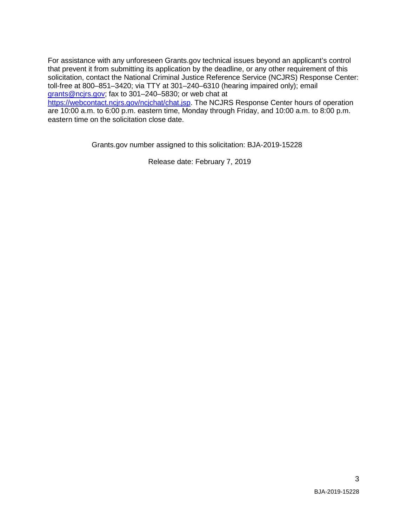For assistance with any unforeseen [Grants.gov](https://Grants.gov) technical issues beyond an applicant's control that prevent it from submitting its application by the deadline, or any other requirement of this solicitation, contact the National Criminal Justice Reference Service (NCJRS) Response Center: toll-free at 800–851–3420; via TTY at 301–240–6310 (hearing impaired only); email [grants@ncjrs.gov;](mailto:grants@ncjrs.gov) fax to 301–240–5830; or web chat at

[https://webcontact.ncjrs.gov/ncjchat/chat.jsp.](https://webcontact.ncjrs.gov/ncjchat/chat.jsp) The NCJRS Response Center hours of operation are 10:00 a.m. to 6:00 p.m. eastern time, Monday through Friday, and 10:00 a.m. to 8:00 p.m. eastern time on the solicitation close date.

[Grants.gov](https://Grants.gov) number assigned to this solicitation: BJA-2019-15228

Release date: February 7, 2019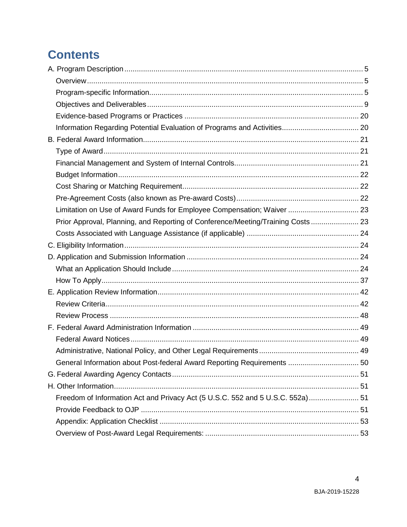# **Contents**

| Limitation on Use of Award Funds for Employee Compensation; Waiver  23           |  |
|----------------------------------------------------------------------------------|--|
| Prior Approval, Planning, and Reporting of Conference/Meeting/Training Costs  23 |  |
|                                                                                  |  |
|                                                                                  |  |
|                                                                                  |  |
|                                                                                  |  |
|                                                                                  |  |
|                                                                                  |  |
|                                                                                  |  |
|                                                                                  |  |
|                                                                                  |  |
|                                                                                  |  |
|                                                                                  |  |
| General Information about Post-federal Award Reporting Requirements  50          |  |
|                                                                                  |  |
|                                                                                  |  |
| Freedom of Information Act and Privacy Act (5 U.S.C. 552 and 5 U.S.C. 552a) 51   |  |
|                                                                                  |  |
|                                                                                  |  |
|                                                                                  |  |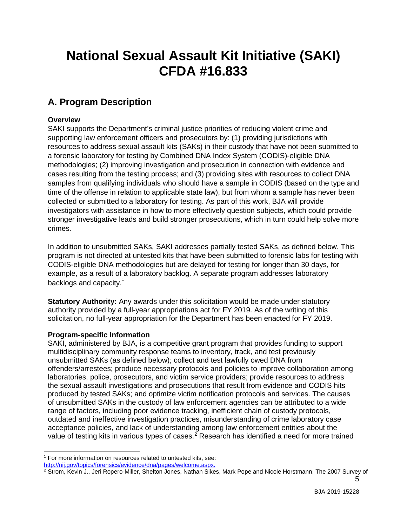# <span id="page-5-5"></span> **National Sexual Assault Kit Initiative (SAKI) CFDA #16.833**

# <span id="page-5-0"></span>**A. Program Description**

## <span id="page-5-1"></span>**Overview**

 resources to address sexual assault kits (SAKs) in their custody that have not been submitted to collected or submitted to a laboratory for testing. As part of this work, BJA will provide investigators with assistance in how to more effectively question subjects, which could provide SAKI supports the Department's criminal justice priorities of reducing violent crime and supporting law enforcement officers and prosecutors by: (1) providing jurisdictions with a forensic laboratory for testing by Combined DNA Index System (CODIS)-eligible DNA methodologies; (2) improving investigation and prosecution in connection with evidence and cases resulting from the testing process; and (3) providing sites with resources to collect DNA samples from qualifying individuals who should have a sample in CODIS (based on the type and time of the offense in relation to applicable state law), but from whom a sample has never been stronger investigative leads and build stronger prosecutions, which in turn could help solve more crimes.

 In addition to unsubmitted SAKs, SAKI addresses partially tested SAKs, as defined below. This program is not directed at untested kits that have been submitted to forensic labs for testing with CODIS-eligible DNA methodologies but are delayed for testing for longer than 30 days, for example, as a result of a laboratory backlog. A separate program addresses laboratory backlogs and capacity.<sup>[1](#page-5-3)</sup>

 solicitation, no full-year appropriation for the Department has been enacted for FY 2019. **Statutory Authority:** Any awards under this solicitation would be made under statutory authority provided by a full-year appropriations act for FY 2019. As of the writing of this

#### <span id="page-5-2"></span>**Program-specific Information**

 $\overline{a}$ 

 unsubmitted SAKs (as defined below); collect and test lawfully owed DNA from laboratories, police, prosecutors, and victim service providers; provide resources to address the sexual assault investigations and prosecutions that result from evidence and CODIS hits SAKI, administered by BJA, is a competitive grant program that provides funding to support multidisciplinary community response teams to inventory, track, and test previously offenders/arrestees; produce necessary protocols and policies to improve collaboration among produced by tested SAKs; and optimize victim notification protocols and services. The causes of unsubmitted SAKs in the custody of law enforcement agencies can be attributed to a wide range of factors, including poor evidence tracking, inefficient chain of custody protocols, outdated and ineffective investigation practices, misunderstanding of crime laboratory case acceptance policies, and lack of understanding among law enforcement entities about the value of testing kits in various types of cases.<sup>2</sup> Research has identified a need for more trained

<span id="page-5-3"></span><sup>&</sup>lt;sup>1</sup> For more information on resources related to untested kits, see: [http://nij.gov/topics/forensics/evidence/dna/pages/welcome.aspx.](http://nij.gov/topics/forensics/evidence/dna/pages/welcome.aspx)

<span id="page-5-4"></span> $^2$  Strom, Kevin J., Jeri Ropero-Miller, Shelton Jones, Nathan Sikes, Mark Pope and Nicole Horstmann, The 2007 Survey of 5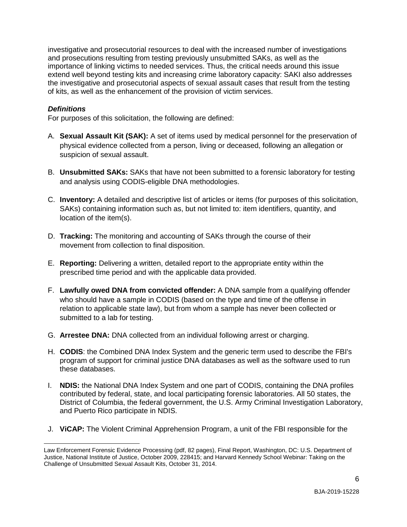importance of linking victims to needed services. Thus, the critical needs around this issue extend well beyond testing kits and increasing crime laboratory capacity: SAKI also addresses the investigative and prosecutorial aspects of sexual assault cases that result from the testing investigative and prosecutorial resources to deal with the increased number of investigations and prosecutions resulting from testing previously unsubmitted SAKs, as well as the of kits, as well as the enhancement of the provision of victim services.

### *Definitions*

For purposes of this solicitation, the following are defined:

- physical evidence collected from a person, living or deceased, following an allegation or A. **Sexual Assault Kit (SAK):** A set of items used by medical personnel for the preservation of suspicion of sexual assault.
- B. **Unsubmitted SAKs:** SAKs that have not been submitted to a forensic laboratory for testing and analysis using CODIS-eligible DNA methodologies.
- C. **Inventory:** A detailed and descriptive list of articles or items (for purposes of this solicitation, location of the item(s). SAKs) containing information such as, but not limited to: item identifiers, quantity, and
- movement from collection to final disposition. D. **Tracking:** The monitoring and accounting of SAKs through the course of their
- prescribed time period and with the applicable data provided. E. **Reporting:** Delivering a written, detailed report to the appropriate entity within the
- F. **Lawfully owed DNA from convicted offender:** A DNA sample from a qualifying offender submitted to a lab for testing. who should have a sample in CODIS (based on the type and time of the offense in relation to applicable state law), but from whom a sample has never been collected or
- G. **Arrestee DNA:** DNA collected from an individual following arrest or charging.
- H. **CODIS**: the Combined DNA Index System and the generic term used to describe the FBI's program of support for criminal justice DNA databases as well as the software used to run these databases.
- I. **NDIS:** the National DNA Index System and one part of CODIS, containing the DNA profiles contributed by federal, state, and local participating forensic laboratories. All 50 states, the District of Columbia, the federal government, the U.S. Army Criminal Investigation Laboratory, and Puerto Rico participate in NDIS.
- J. **ViCAP:** The Violent Criminal Apprehension Program, a unit of the FBI responsible for the

 $\ddot{\phantom{a}}$ Law Enforcement Forensic Evidence Processing (pdf, 82 pages), Final Report, Washington, DC: U.S. Department of Justice, National Institute of Justice, October 2009, 228415; and Harvard Kennedy School Webinar: Taking on the Challenge of Unsubmitted Sexual Assault Kits, October 31, 2014.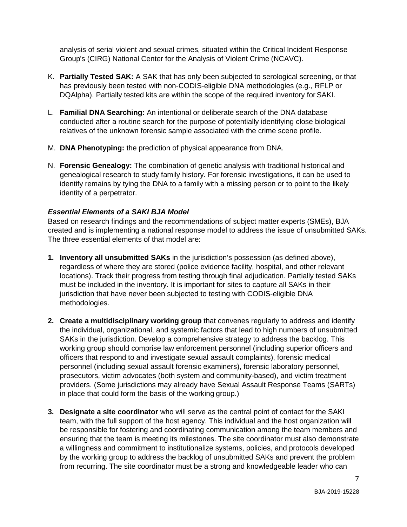Group's (CIRG) National Center for the Analysis of Violent Crime (NCAVC). analysis of serial violent and sexual crimes, situated within the Critical Incident Response

- DQAlpha). Partially tested kits are within the scope of the required inventory for SAKI. K. **Partially Tested SAK:** A SAK that has only been subjected to serological screening, or that has previously been tested with non-CODIS-eligible DNA methodologies (e.g., RFLP or
- L. **Familial DNA Searching:** An intentional or deliberate search of the DNA database conducted after a routine search for the purpose of potentially identifying close biological relatives of the unknown forensic sample associated with the crime scene profile.
- M. **DNA Phenotyping:** the prediction of physical appearance from DNA.
- genealogical research to study family history. For forensic investigations, it can be used to identify remains by tying the DNA to a family with a missing person or to point to the likely N. **Forensic Genealogy:** The combination of genetic analysis with traditional historical and identity of a perpetrator.

## <span id="page-7-0"></span>*Essential Elements of a SAKI BJA Model*

 Based on research findings and the recommendations of subject matter experts (SMEs), BJA created and is implementing a national response model to address the issue of unsubmitted SAKs. The three essential elements of that model are:

- regardless of where they are stored (police evidence facility, hospital, and other relevant locations). Track their progress from testing through final adjudication. Partially tested SAKs must be included in the inventory. It is important for sites to capture all SAKs in their **1. Inventory all unsubmitted SAKs** in the jurisdiction's possession (as defined above), jurisdiction that have never been subjected to testing with CODIS-eligible DNA methodologies.
- SAKs in the jurisdiction. Develop a comprehensive strategy to address the backlog. This prosecutors, victim advocates (both system and community-based), and victim treatment in place that could form the basis of the working group.) **2. Create a multidisciplinary working group** that convenes regularly to address and identify the individual, organizational, and systemic factors that lead to high numbers of unsubmitted working group should comprise law enforcement personnel (including superior officers and officers that respond to and investigate sexual assault complaints), forensic medical personnel (including sexual assault forensic examiners), forensic laboratory personnel, providers. (Some jurisdictions may already have Sexual Assault Response Teams (SARTs)
- be responsible for fostering and coordinating communication among the team members and by the working group to address the backlog of unsubmitted SAKs and prevent the problem from recurring. The site coordinator must be a strong and knowledgeable leader who can **3. Designate a site coordinator** who will serve as the central point of contact for the SAKI team, with the full support of the host agency. This individual and the host organization will ensuring that the team is meeting its milestones. The site coordinator must also demonstrate a willingness and commitment to institutionalize systems, policies, and protocols developed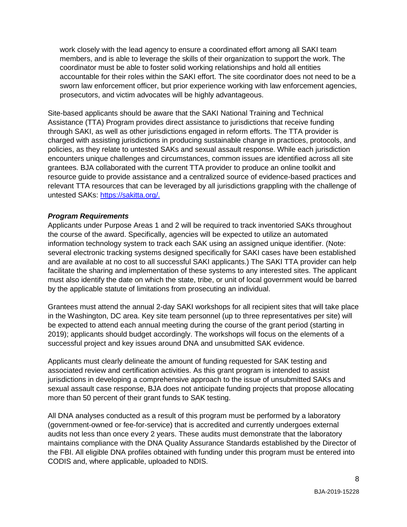members, and is able to leverage the skills of their organization to support the work. The work closely with the lead agency to ensure a coordinated effort among all SAKI team coordinator must be able to foster solid working relationships and hold all entities accountable for their roles within the SAKI effort. The site coordinator does not need to be a sworn law enforcement officer, but prior experience working with law enforcement agencies, prosecutors, and victim advocates will be highly advantageous.

 Assistance (TTA) Program provides direct assistance to jurisdictions that receive funding policies, as they relate to untested SAKs and sexual assault response. While each jurisdiction Site-based applicants should be aware that the SAKI National Training and Technical through SAKI, as well as other jurisdictions engaged in reform efforts. The TTA provider is charged with assisting jurisdictions in producing sustainable change in practices, protocols, and encounters unique challenges and circumstances, common issues are identified across all site grantees. BJA collaborated with the current TTA provider to produce an online toolkit and resource guide to provide assistance and a centralized source of evidence-based practices and relevant TTA resources that can be leveraged by all jurisdictions grappling with the challenge of untested SAKs: [https://sakitta.org/.](https://sakitta.org/)

#### *Program Requirements*

 the course of the award. Specifically, agencies will be expected to utilize an automated facilitate the sharing and implementation of these systems to any interested sites. The applicant Applicants under Purpose Areas 1 and 2 will be required to track inventoried SAKs throughout information technology system to track each SAK using an assigned unique identifier. (Note: several electronic tracking systems designed specifically for SAKI cases have been established and are available at no cost to all successful SAKI applicants.) The SAKI TTA provider can help must also identify the date on which the state, tribe, or unit of local government would be barred by the applicable statute of limitations from prosecuting an individual.

 Grantees must attend the annual 2-day SAKI workshops for all recipient sites that will take place be expected to attend each annual meeting during the course of the grant period (starting in 2019); applicants should budget accordingly. The workshops will focus on the elements of a in the Washington, DC area. Key site team personnel (up to three representatives per site) will successful project and key issues around DNA and unsubmitted SAK evidence.

 more than 50 percent of their grant funds to SAK testing. Applicants must clearly delineate the amount of funding requested for SAK testing and associated review and certification activities. As this grant program is intended to assist jurisdictions in developing a comprehensive approach to the issue of unsubmitted SAKs and sexual assault case response, BJA does not anticipate funding projects that propose allocating

All DNA analyses conducted as a result of this program must be performed by a laboratory (government-owned or fee-for-service) that is accredited and currently undergoes external audits not less than once every 2 years. These audits must demonstrate that the laboratory maintains compliance with the DNA Quality Assurance Standards established by the Director of the FBI. All eligible DNA profiles obtained with funding under this program must be entered into CODIS and, where applicable, uploaded to NDIS.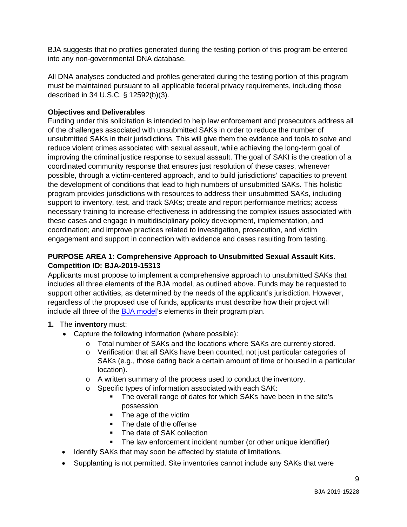BJA suggests that no profiles generated during the testing portion of this program be entered into any non-governmental DNA database.

 All DNA analyses conducted and profiles generated during the testing portion of this program must be maintained pursuant to all applicable federal privacy requirements, including those described in 34 U.S.C. § 12592(b)(3).

### <span id="page-9-0"></span>**Objectives and Deliverables**

 unsubmitted SAKs in their jurisdictions. This will give them the evidence and tools to solve and reduce violent crimes associated with sexual assault, while achieving the long-term goal of improving the criminal justice response to sexual assault. The goal of SAKI is the creation of a program provides jurisdictions with resources to address their unsubmitted SAKs, including Funding under this solicitation is intended to help law enforcement and prosecutors address all of the challenges associated with unsubmitted SAKs in order to reduce the number of coordinated community response that ensures just resolution of these cases, whenever possible, through a victim-centered approach, and to build jurisdictions' capacities to prevent the development of conditions that lead to high numbers of unsubmitted SAKs. This holistic support to inventory, test, and track SAKs; create and report performance metrics; access necessary training to increase effectiveness in addressing the complex issues associated with these cases and engage in multidisciplinary policy development, implementation, and coordination; and improve practices related to investigation, prosecution, and victim engagement and support in connection with evidence and cases resulting from testing.

### **PURPOSE AREA 1: Comprehensive Approach to Unsubmitted Sexual Assault Kits. Competition ID: BJA-2019-15313**

 Applicants must propose to implement a comprehensive approach to unsubmitted SAKs that includes all three elements of the BJA model, as outlined above. Funds may be requested to support other activities, as determined by the needs of the applicant's jurisdiction. However, regardless of the proposed use of funds, applicants must describe how their project will include all three of the [BJA model's](#page-7-0) elements in their program plan.

## **1.** The **inventory** must:

- • Capture the following information (where possible):
	- o Total number of SAKs and the locations where SAKs are currently stored.
	- o Verification that all SAKs have been counted, not just particular categories of SAKs (e.g., those dating back a certain amount of time or housed in a particular location).
	- o A written summary of the process used to conduct the inventory.
	- o Specific types of information associated with each SAK:
		- The overall range of dates for which SAKs have been in the site's possession
		- **The age of the victim**
		- The date of the offense
		- $\mathbf{r}$ The date of SAK collection
		- The law enforcement incident number (or other unique identifier)
- Identify SAKs that may soon be affected by statute of limitations.
- Supplanting is not permitted. Site inventories cannot include any SAKs that were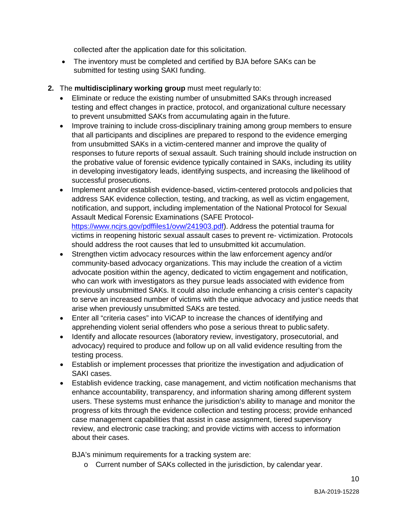collected after the application date for this solicitation.

- submitted for testing using SAKI funding. • The inventory must be completed and certified by BJA before SAKs can be
- **2.** The **multidisciplinary working group** must meet regularly to:
	- to prevent unsubmitted SAKs from accumulating again in the future. • Eliminate or reduce the existing number of unsubmitted SAKs through increased testing and effect changes in practice, protocol, and organizational culture necessary
	- from unsubmitted SAKs in a victim-centered manner and improve the quality of • Improve training to include cross-disciplinary training among group members to ensure that all participants and disciplines are prepared to respond to the evidence emerging responses to future reports of sexual assault. Such training should include instruction on the probative value of forensic evidence typically contained in SAKs, including its utility in developing investigatory leads, identifying suspects, and increasing the likelihood of successful prosecutions.
	- notification, and support, including implementation of the National Protocol for Sexual should address the root causes that led to unsubmitted kit accumulation. • Implement and/or establish evidence-based, victim-centered protocols and policies that address SAK evidence collection, testing, and tracking, as well as victim engagement, Assault Medical Forensic Examinations (SAFE Protocol[https://www.ncjrs.gov/pdffiles1/ovw/241903.pdf\)](https://www.ncjrs.gov/pdffiles1/ovw/241903.pdf). Address the potential trauma for victims in reopening historic sexual assault cases to prevent re- victimization. Protocols
	- • Strengthen victim advocacy resources within the law enforcement agency and/or community-based advocacy organizations. This may include the creation of a victim previously unsubmitted SAKs. It could also include enhancing a crisis center's capacity arise when previously unsubmitted SAKs are tested. advocate position within the agency, dedicated to victim engagement and notification, who can work with investigators as they pursue leads associated with evidence from to serve an increased number of victims with the unique advocacy and justice needs that
	- apprehending violent serial offenders who pose a serious threat to public safety. • Enter all "criteria cases" into ViCAP to increase the chances of identifying and
	- testing process. • Identify and allocate resources (laboratory review, investigatory, prosecutorial, and advocacy) required to produce and follow up on all valid evidence resulting from the
	- Establish or implement processes that prioritize the investigation and adjudication of SAKI cases.
	- enhance accountability, transparency, and information sharing among different system about their cases. • Establish evidence tracking, case management, and victim notification mechanisms that users. These systems must enhance the jurisdiction's ability to manage and monitor the progress of kits through the evidence collection and testing process; provide enhanced case management capabilities that assist in case assignment, tiered supervisory review, and electronic case tracking; and provide victims with access to information

BJA's minimum requirements for a tracking system are:

o Current number of SAKs collected in the jurisdiction, by calendar year.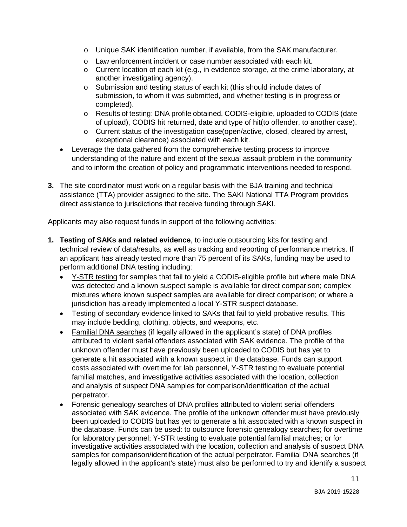- o Unique SAK identification number, if available, from the SAK manufacturer.
- o Law enforcement incident or case number associated with each kit.
- o Current location of each kit (e.g., in evidence storage, at the crime laboratory, at another investigating agency).
- o Submission and testing status of each kit (this should include dates of submission, to whom it was submitted, and whether testing is in progress or completed).
- o Results of testing: DNA profile obtained, CODIS-eligible, uploaded to CODIS (date of upload), CODIS hit returned, date and type of hit(to offender, to another case).
- exceptional clearance) associated with each kit. o Current status of the investigation case(open/active, closed, cleared by arrest,
- and to inform the creation of policy and programmatic interventions needed torespond. • Leverage the data gathered from the comprehensive testing process to improve understanding of the nature and extent of the sexual assault problem in the community
- direct assistance to jurisdictions that receive funding through SAKI. **3.** The site coordinator must work on a regular basis with the BJA training and technical assistance (TTA) provider assigned to the site. The SAKI National TTA Program provides

Applicants may also request funds in support of the following activities:

- **1. Testing of SAKs and related evidence**, to include outsourcing kits for testing and technical review of data/results, as well as tracking and reporting of performance metrics. If an applicant has already tested more than 75 percent of its SAKs, funding may be used to perform additional DNA testing including:
	- jurisdiction has already implemented a local Y-STR suspect database. • Y-STR testing for samples that fail to yield a CODIS-eligible profile but where male DNA was detected and a known suspect sample is available for direct comparison; complex mixtures where known suspect samples are available for direct comparison; or where a
	- Testing of secondary evidence linked to SAKs that fail to yield probative results. This may include bedding, clothing, objects, and weapons, etc.
	- Familial DNA searches (if legally allowed in the applicant's state) of DNA profiles attributed to violent serial offenders associated with SAK evidence. The profile of the unknown offender must have previously been uploaded to CODIS but has yet to and analysis of suspect DNA samples for comparison/identification of the actual generate a hit associated with a known suspect in the database. Funds can support costs associated with overtime for lab personnel, Y-STR testing to evaluate potential familial matches, and investigative activities associated with the location, collection perpetrator.
	- been uploaded to CODIS but has yet to generate a hit associated with a known suspect in for laboratory personnel; Y-STR testing to evaluate potential familial matches; or for • Forensic genealogy searches of DNA profiles attributed to violent serial offenders associated with SAK evidence. The profile of the unknown offender must have previously the database. Funds can be used: to outsource forensic genealogy searches; for overtime investigative activities associated with the location, collection and analysis of suspect DNA samples for comparison/identification of the actual perpetrator. Familial DNA searches (if legally allowed in the applicant's state) must also be performed to try and identify a suspect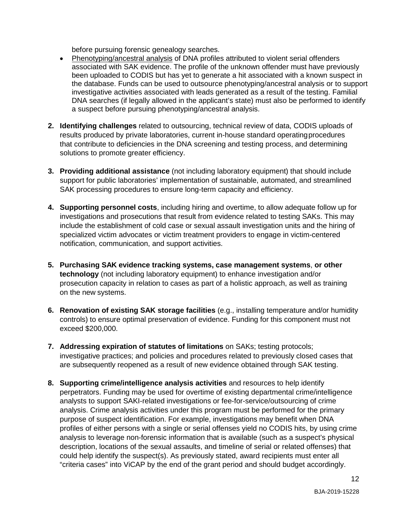before pursuing forensic genealogy searches.

- Phenotyping/ancestral analysis of DNA profiles attributed to violent serial offenders been uploaded to CODIS but has yet to generate a hit associated with a known suspect in associated with SAK evidence. The profile of the unknown offender must have previously the database. Funds can be used to outsource phenotyping/ancestral analysis or to support investigative activities associated with leads generated as a result of the testing. Familial DNA searches (if legally allowed in the applicant's state) must also be performed to identify a suspect before pursuing phenotyping/ancestral analysis.
- solutions to promote greater efficiency. **2. Identifying challenges** related to outsourcing, technical review of data, CODIS uploads of results produced by private laboratories, current in-house standard operatingprocedures that contribute to deficiencies in the DNA screening and testing process, and determining
- SAK processing procedures to ensure long-term capacity and efficiency. **3. Providing additional assistance** (not including laboratory equipment) that should include support for public laboratories' implementation of sustainable, automated, and streamlined
- investigations and prosecutions that result from evidence related to testing SAKs. This may **4. Supporting personnel costs**, including hiring and overtime, to allow adequate follow up for include the establishment of cold case or sexual assault investigation units and the hiring of specialized victim advocates or victim treatment providers to engage in victim-centered notification, communication, and support activities.
- on the new systems. **5. Purchasing SAK evidence tracking systems, case management systems**, **or other technology** (not including laboratory equipment) to enhance investigation and/or prosecution capacity in relation to cases as part of a holistic approach, as well as training
- controls) to ensure optimal preservation of evidence. Funding for this component must not exceed \$200,000. **6. Renovation of existing SAK storage facilities** (e.g., installing temperature and/or humidity
- investigative practices; and policies and procedures related to previously closed cases that **7. Addressing expiration of statutes of limitations** on SAKs; testing protocols; are subsequently reopened as a result of new evidence obtained through SAK testing.
- **8. Supporting crime/intelligence analysis activities** and resources to help identify analysis to leverage non-forensic information that is available (such as a suspect's physical description, locations of the sexual assaults, and timeline of serial or related offenses) that "criteria cases" into ViCAP by the end of the grant period and should budget accordingly. perpetrators. Funding may be used for overtime of existing departmental crime/intelligence analysts to support SAKI-related investigations or fee-for-service/outsourcing of crime analysis. Crime analysis activities under this program must be performed for the primary purpose of suspect identification. For example, investigations may benefit when DNA profiles of either persons with a single or serial offenses yield no CODIS hits, by using crime could help identify the suspect(s). As previously stated, award recipients must enter all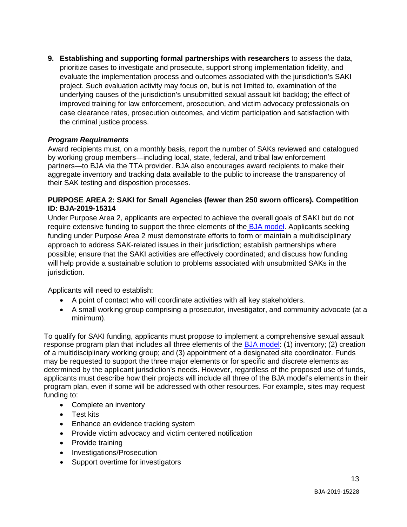prioritize cases to investigate and prosecute, support strong implementation fidelity, and underlying causes of the jurisdiction's unsubmitted sexual assault kit backlog; the effect of the criminal justice process. **9. Establishing and supporting formal partnerships with researchers** to assess the data, evaluate the implementation process and outcomes associated with the jurisdiction's SAKI project. Such evaluation activity may focus on, but is not limited to, examination of the improved training for law enforcement, prosecution, and victim advocacy professionals on case clearance rates, prosecution outcomes, and victim participation and satisfaction with

## *Program Requirements*

Award recipients must, on a monthly basis, report the number of SAKs reviewed and catalogued by working group members—including local, state, federal, and tribal law enforcement partners—to BJA via the TTA provider. BJA also encourages award recipients to make their aggregate inventory and tracking data available to the public to increase the transparency of their SAK testing and disposition processes.

#### **PURPOSE AREA 2: SAKI for Small Agencies (fewer than 250 sworn officers). Competition ID: BJA-2019-15314**

 funding under Purpose Area 2 must demonstrate efforts to form or maintain a multidisciplinary possible; ensure that the SAKI activities are effectively coordinated; and discuss how funding Under Purpose Area 2, applicants are expected to achieve the overall goals of SAKI but do not require extensive funding to support the three elements of the **BJA model**. Applicants seeking approach to address SAK-related issues in their jurisdiction; establish partnerships where will help provide a sustainable solution to problems associated with unsubmitted SAKs in the jurisdiction.

Applicants will need to establish:

- A point of contact who will coordinate activities with all key stakeholders.
- A small working group comprising a prosecutor, investigator, and community advocate (at a minimum).

 To qualify for SAKI funding, applicants must propose to implement a comprehensive sexual assault may be requested to support the three major elements or for specific and discrete elements as determined by the applicant jurisdiction's needs. However, regardless of the proposed use of funds, response program plan that includes all three elements of the [BJA model:](#page-7-0) (1) inventory; (2) creation of a multidisciplinary working group; and (3) appointment of a designated site coordinator. Funds applicants must describe how their projects will include all three of the BJA model's elements in their program plan, even if some will be addressed with other resources. For example, sites may request funding to:

- Complete an inventory
- Test kits
- Enhance an evidence tracking system
- Provide victim advocacy and victim centered notification
- Provide training
- Investigations/Prosecution
- Support overtime for investigators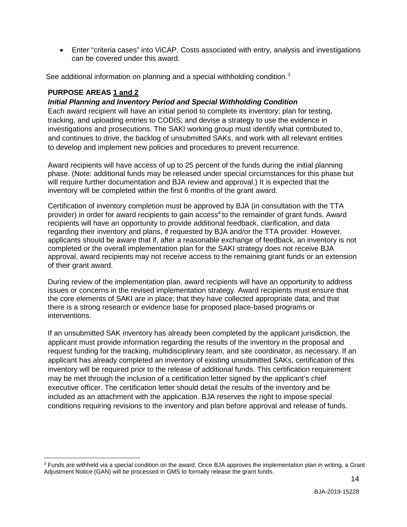• Enter "criteria cases" into ViCAP. Costs associated with entry, analysis and investigations can be covered under this award.

See additional information on planning and a special withholding condition. [3](#page-14-1) 

#### <span id="page-14-0"></span>**PURPOSE AREAS 1 and 2**

 $\ddot{\phantom{a}}$ 

#### *Initial Planning and Inventory Period and Special Withholding Condition*

 Each award recipient will have an initial period to complete its inventory; plan for testing, tracking, and uploading entries to CODIS; and devise a strategy to use the evidence in and continues to drive, the backlog of unsubmitted SAKs, and work with all relevant entities to develop and implement new policies and procedures to prevent recurrence. investigations and prosecutions. The SAKI working group must identify what contributed to,

 phase. (Note: additional funds may be released under special circumstances for this phase but Award recipients will have access of up to 25 percent of the funds during the initial planning will require further documentation and BJA review and approval.) It is expected that the inventory will be completed within the first 6 months of the grant award.

provider) in order for award recipients to gain access<sup>4</sup> to the remainder of grant funds. Award Certification of inventory completion must be approved by BJA (in consultation with the TTA recipients will have an opportunity to provide additional feedback, clarification, and data regarding their inventory and plans, if requested by BJA and/or the TTA provider. However, applicants should be aware that if, after a reasonable exchange of feedback, an inventory is not completed or the overall implementation plan for the SAKI strategy does not receive BJA approval, award recipients may not receive access to the remaining grant funds or an extension of their grant award.

 the core elements of SAKI are in place; that they have collected appropriate data; and that During review of the implementation plan, award recipients will have an opportunity to address issues or concerns in the revised implementation strategy. Award recipients must ensure that there is a strong research or evidence base for proposed place-based programs or interventions.

 If an unsubmitted SAK inventory has already been completed by the applicant jurisdiction, the request funding for the tracking, multidisciplinary team, and site coordinator, as necessary. If an applicant has already completed an inventory of existing unsubmitted SAKs, certification of this inventory will be required prior to the release of additional funds. This certification requirement applicant must provide information regarding the results of the inventory in the proposal and may be met through the inclusion of a certification letter signed by the applicant's chief executive officer. The certification letter should detail the results of the inventory and be included as an attachment with the application. BJA reserves the right to impose special conditions requiring revisions to the inventory and plan before approval and release of funds.

<span id="page-14-1"></span><sup>&</sup>lt;sup>3</sup> Funds are withheld via a special condition on the award. Once BJA approves the implementation plan in writing, a Grant Adjustment Notice (GAN) will be processed in GMS to formally release the grant funds.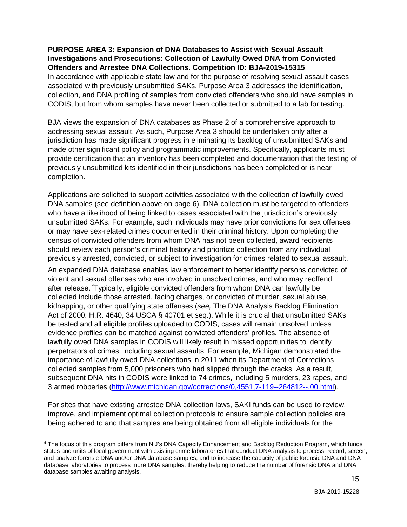## **PURPOSE AREA 3: Expansion of DNA Databases to Assist with Sexual Assault Investigations and Prosecutions: Collection of Lawfully Owed DNA from Convicted Offenders and Arrestee DNA Collections. Competition ID: BJA-2019-15315**  In accordance with applicable state law and for the purpose of resolving sexual assault cases associated with previously unsubmitted SAKs, Purpose Area 3 addresses the identification, collection, and DNA profiling of samples from convicted offenders who should have samples in CODIS, but from whom samples have never been collected or submitted to a lab for testing.

 made other significant policy and programmatic improvements. Specifically, applicants must BJA views the expansion of DNA databases as Phase 2 of a comprehensive approach to addressing sexual assault. As such, Purpose Area 3 should be undertaken only after a jurisdiction has made significant progress in eliminating its backlog of unsubmitted SAKs and provide certification that an inventory has been completed and documentation that the testing of previously unsubmitted kits identified in their jurisdictions has been completed or is near completion.

 who have a likelihood of being linked to cases associated with the jurisdiction's previously previously arrested, convicted, or subject to investigation for crimes related to sexual assault. Applications are solicited to support activities associated with the collection of lawfully owed DNA samples (see definition above on page 6). DNA collection must be targeted to offenders unsubmitted SAKs. For example, such individuals may have prior convictions for sex offenses or may have sex-related crimes documented in their criminal history. Upon completing the census of convicted offenders from whom DNA has not been collected, award recipients should review each person's criminal history and prioritize collection from any individual

 Act of 2000: H.R. 4640, 34 USCA § 40701 et seq.). While it is crucial that unsubmitted SAKs evidence profiles can be matched against convicted offenders' profiles. The absence of An expanded DNA database enables law enforcement to better identify persons convicted of violent and sexual offenses who are involved in unsolved crimes, and who may reoffend after release. <sup>4</sup>Typically, eligible convicted offenders from whom DNA can lawfully be collected include those arrested, facing charges, or convicted of murder, sexual abuse, kidnapping, or other qualifying state offenses (*see,* The DNA Analysis Backlog Elimination be tested and all eligible profiles uploaded to CODIS, cases will remain unsolved unless lawfully owed DNA samples in CODIS will likely result in missed opportunities to identify perpetrators of crimes, including sexual assaults. For example, Michigan demonstrated the importance of lawfully owed DNA collections in 2011 when its Department of Corrections collected samples from 5,000 prisoners who had slipped through the cracks. As a result, subsequent DNA hits in CODIS were linked to 74 crimes, including 5 murders, 23 rapes, and 3 armed robberies [\(http://www.michigan.gov/corrections/0,4551,7-119--264812--,00.html\)](http://www.michigan.gov/corrections/0,4551,7-119--264812--,00.html).

 For sites that have existing arrestee DNA collection laws, SAKI funds can be used to review, being adhered to and that samples are being obtained from all eligible individuals for the improve, and implement optimal collection protocols to ensure sample collection policies are

-

<span id="page-15-0"></span> states and units of local government with existing crime laboratories that conduct DNA analysis to process, record, screen, and analyze forensic DNA and/or DNA database samples, and to increase the capacity of public forensic DNA and DNA database laboratories to process more DNA samples, thereby helping to reduce the number of forensic DNA and DNA 4 The focus of this program differs from NIJ's DNA Capacity Enhancement and Backlog Reduction Program, which funds database samples awaiting analysis.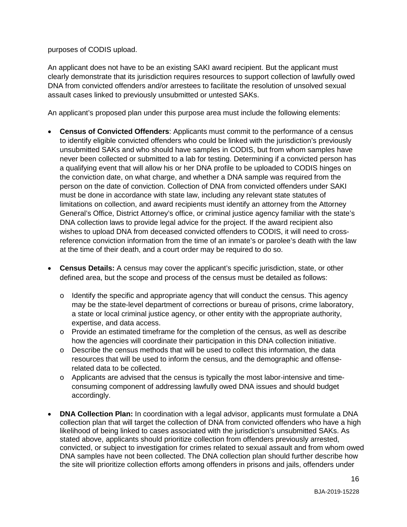purposes of CODIS upload.

An applicant does not have to be an existing SAKI award recipient. But the applicant must clearly demonstrate that its jurisdiction requires resources to support collection of lawfully owed DNA from convicted offenders and/or arrestees to facilitate the resolution of unsolved sexual assault cases linked to previously unsubmitted or untested SAKs.

An applicant's proposed plan under this purpose area must include the following elements:

- person on the date of conviction. Collection of DNA from convicted offenders under SAKI limitations on collection, and award recipients must identify an attorney from the Attorney DNA collection laws to provide legal advice for the project. If the award recipient also reference conviction information from the time of an inmate's or parolee's death with the law at the time of their death, and a court order may be required to do so. • **Census of Convicted Offenders**: Applicants must commit to the performance of a census to identify eligible convicted offenders who could be linked with the jurisdiction's previously unsubmitted SAKs and who should have samples in CODIS, but from whom samples have never been collected or submitted to a lab for testing. Determining if a convicted person has a qualifying event that will allow his or her DNA profile to be uploaded to CODIS hinges on the conviction date, on what charge, and whether a DNA sample was required from the must be done in accordance with state law, including any relevant state statutes of General's Office, District Attorney's office, or criminal justice agency familiar with the state's wishes to upload DNA from deceased convicted offenders to CODIS, it will need to cross-
- • **Census Details:** A census may cover the applicant's specific jurisdiction, state, or other defined area, but the scope and process of the census must be detailed as follows:
	- $\circ$  Identify the specific and appropriate agency that will conduct the census. This agency may be the state-level department of corrections or bureau of prisons, crime laboratory, a state or local criminal justice agency, or other entity with the appropriate authority, expertise, and data access.
	- o Provide an estimated timeframe for the completion of the census, as well as describe how the agencies will coordinate their participation in this DNA collection initiative.
	- o Describe the census methods that will be used to collect this information, the data resources that will be used to inform the census, and the demographic and offenserelated data to be collected.
	- o Applicants are advised that the census is typically the most labor-intensive and timeconsuming component of addressing lawfully owed DNA issues and should budget accordingly.
- DNA samples have not been collected. The DNA collection plan should further describe how • **DNA Collection Plan:** In coordination with a legal advisor, applicants must formulate a DNA collection plan that will target the collection of DNA from convicted offenders who have a high likelihood of being linked to cases associated with the jurisdiction's unsubmitted SAKs. As stated above, applicants should prioritize collection from offenders previously arrested, convicted, or subject to investigation for crimes related to sexual assault and from whom owed the site will prioritize collection efforts among offenders in prisons and jails, offenders under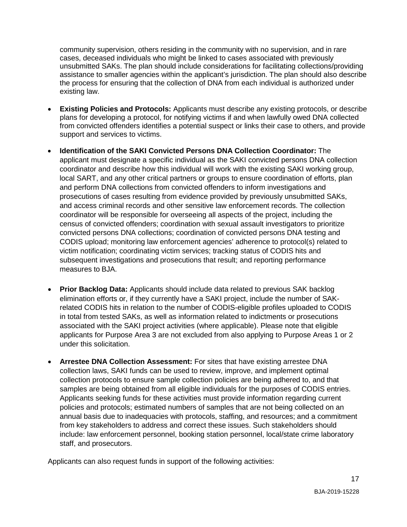assistance to smaller agencies within the applicant's jurisdiction. The plan should also describe community supervision, others residing in the community with no supervision, and in rare cases, deceased individuals who might be linked to cases associated with previously unsubmitted SAKs. The plan should include considerations for facilitating collections/providing the process for ensuring that the collection of DNA from each individual is authorized under existing law.

- **Existing Policies and Protocols:** Applicants must describe any existing protocols, or describe plans for developing a protocol, for notifying victims if and when lawfully owed DNA collected from convicted offenders identifies a potential suspect or links their case to others, and provide support and services to victims.
- coordinator and describe how this individual will work with the existing SAKI working group, CODIS upload; monitoring law enforcement agencies' adherence to protocol(s) related to measures to BJA. • **Identification of the SAKI Convicted Persons DNA Collection Coordinator:** The applicant must designate a specific individual as the SAKI convicted persons DNA collection local SART, and any other critical partners or groups to ensure coordination of efforts, plan and perform DNA collections from convicted offenders to inform investigations and prosecutions of cases resulting from evidence provided by previously unsubmitted SAKs, and access criminal records and other sensitive law enforcement records. The collection coordinator will be responsible for overseeing all aspects of the project, including the census of convicted offenders; coordination with sexual assault investigators to prioritize convicted persons DNA collections; coordination of convicted persons DNA testing and victim notification; coordinating victim services; tracking status of CODIS hits and subsequent investigations and prosecutions that result; and reporting performance
- under this solicitation. • **Prior Backlog Data:** Applicants should include data related to previous SAK backlog elimination efforts or, if they currently have a SAKI project, include the number of SAKrelated CODIS hits in relation to the number of CODIS-eligible profiles uploaded to CODIS in total from tested SAKs, as well as information related to indictments or prosecutions associated with the SAKI project activities (where applicable). Please note that eligible applicants for Purpose Area 3 are not excluded from also applying to Purpose Areas 1 or 2
- collection laws, SAKI funds can be used to review, improve, and implement optimal samples are being obtained from all eligible individuals for the purposes of CODIS entries. annual basis due to inadequacies with protocols, staffing, and resources; and a commitment • **Arrestee DNA Collection Assessment:** For sites that have existing arrestee DNA collection protocols to ensure sample collection policies are being adhered to, and that Applicants seeking funds for these activities must provide information regarding current policies and protocols; estimated numbers of samples that are not being collected on an from key stakeholders to address and correct these issues. Such stakeholders should include: law enforcement personnel, booking station personnel, local/state crime laboratory staff, and prosecutors.

Applicants can also request funds in support of the following activities: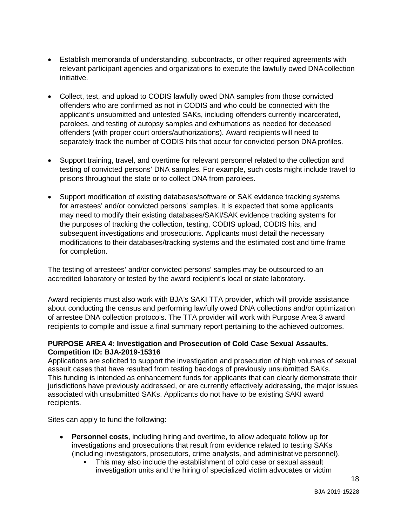- Establish memoranda of understanding, subcontracts, or other required agreements with relevant participant agencies and organizations to execute the lawfully owed DNAcollection initiative.
- • Collect, test, and upload to CODIS lawfully owed DNA samples from those convicted parolees, and testing of autopsy samples and exhumations as needed for deceased separately track the number of CODIS hits that occur for convicted person DNA profiles. offenders who are confirmed as not in CODIS and who could be connected with the applicant's unsubmitted and untested SAKs, including offenders currently incarcerated, offenders (with proper court orders/authorizations). Award recipients will need to
- • Support training, travel, and overtime for relevant personnel related to the collection and prisons throughout the state or to collect DNA from parolees. testing of convicted persons' DNA samples. For example, such costs might include travel to
- for arrestees' and/or convicted persons' samples. It is expected that some applicants may need to modify their existing databases/SAKI/SAK evidence tracking systems for the purposes of tracking the collection, testing, CODIS upload, CODIS hits, and subsequent investigations and prosecutions. Applicants must detail the necessary • Support modification of existing databases/software or SAK evidence tracking systems modifications to their databases/tracking systems and the estimated cost and time frame for completion.

 accredited laboratory or tested by the award recipient's local or state laboratory. The testing of arrestees' and/or convicted persons' samples may be outsourced to an

Award recipients must also work with BJA's SAKI TTA provider, which will provide assistance about conducting the census and performing lawfully owed DNA collections and/or optimization of arrestee DNA collection protocols. The TTA provider will work with Purpose Area 3 award recipients to compile and issue a final summary report pertaining to the achieved outcomes.

### **PURPOSE AREA 4: Investigation and Prosecution of Cold Case Sexual Assaults. Competition ID: BJA-2019-15316**

 This funding is intended as enhancement funds for applicants that can clearly demonstrate their Applications are solicited to support the investigation and prosecution of high volumes of sexual assault cases that have resulted from testing backlogs of previously unsubmitted SAKs. jurisdictions have previously addressed, or are currently effectively addressing, the major issues associated with unsubmitted SAKs. Applicants do not have to be existing SAKI award recipients.

Sites can apply to fund the following:

- • **Personnel costs**, including hiring and overtime, to allow adequate follow up for investigations and prosecutions that result from evidence related to testing SAKs (including investigators, prosecutors, crime analysts, and administrativepersonnel).
	- This may also include the establishment of cold case or sexual assault investigation units and the hiring of specialized victim advocates or victim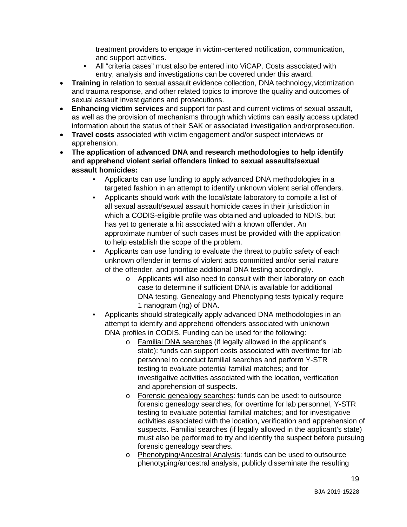treatment providers to engage in victim-centered notification, communication, and support activities.

- All "criteria cases" must also be entered into ViCAP. Costs associated with entry, analysis and investigations can be covered under this award.
- **Training** in relation to sexual assault evidence collection, DNA technology, victimization and trauma response, and other related topics to improve the quality and outcomes of sexual assault investigations and prosecutions.
- • **Enhancing victim services** and support for past and current victims of sexual assault, as well as the provision of mechanisms through which victims can easily access updated information about the status of their SAK or associated investigation and/orprosecution.
- **Travel costs** associated with victim engagement and/or suspect interviews or apprehension.
- **The application of advanced DNA and research methodologies to help identify and apprehend violent serial offenders linked to sexual assaults/sexual assault homicides:** 
	- Applicants can use funding to apply advanced DNA methodologies in a targeted fashion in an attempt to identify unknown violent serial offenders.
	- Applicants should work with the local/state laboratory to compile a list of all sexual assault/sexual assault homicide cases in their jurisdiction in which a CODIS-eligible profile was obtained and uploaded to NDIS, but has yet to generate a hit associated with a known offender. An approximate number of such cases must be provided with the application to help establish the scope of the problem.
	- • Applicants can use funding to evaluate the threat to public safety of each unknown offender in terms of violent acts committed and/or serial nature of the offender, and prioritize additional DNA testing accordingly.
		- DNA testing. Genealogy and Phenotyping tests typically require 1 nanogram (ng) of DNA. o Applicants will also need to consult with their laboratory on each case to determine if sufficient DNA is available for additional
	- Applicants should strategically apply advanced DNA methodologies in an attempt to identify and apprehend offenders associated with unknown DNA profiles in CODIS. Funding can be used for the following:
		- o Familial DNA searches (if legally allowed in the applicant's state): funds can support costs associated with overtime for lab personnel to conduct familial searches and perform Y-STR testing to evaluate potential familial matches; and for investigative activities associated with the location, verification and apprehension of suspects.
		- activities associated with the location, verification and apprehension of o Forensic genealogy searches: funds can be used: to outsource forensic genealogy searches, for overtime for lab personnel, Y-STR testing to evaluate potential familial matches; and for investigative suspects. Familial searches (if legally allowed in the applicant's state) must also be performed to try and identify the suspect before pursuing forensic genealogy searches.
		- o Phenotyping/Ancestral Analysis: funds can be used to outsource phenotyping/ancestral analysis, publicly disseminate the resulting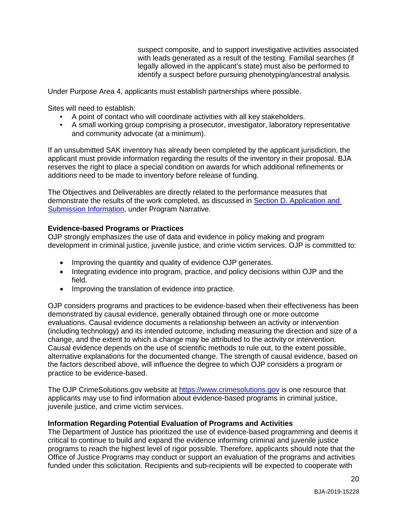with leads generated as a result of the testing. Familial searches (if legally allowed in the applicant's state) must also be performed to suspect composite, and to support investigative activities associated identify a suspect before pursuing phenotyping/ancestral analysis.

Under Purpose Area 4, applicants must establish partnerships where possible.

Sites will need to establish:

- A point of contact who will coordinate activities with all key stakeholders.
- and community advocate (at a minimum). • A small working group comprising a prosecutor, investigator, laboratory representative

 If an unsubmitted SAK inventory has already been completed by the applicant jurisdiction, the reserves the right to place a special condition on awards for which additional refinements or applicant must provide information regarding the results of the inventory in their proposal. BJA additions need to be made to inventory before release of funding.

 The Objectives and Deliverables are directly related to the performance measures that demonstrate the results of the work completed, as discussed in **Section D. Application and** [Submission Information,](#page-24-0) under Program Narrative.

#### <span id="page-20-0"></span>**Evidence-based Programs or Practices**

OJP strongly emphasizes the use of data and evidence in policy making and program development in criminal justice, juvenile justice, and crime victim services. OJP is committed to:

- Improving the quantity and quality of evidence OJP generates.
- Integrating evidence into program, practice, and policy decisions within OJP and the field.
- Improving the translation of evidence into practice.

 change, and the extent to which a change may be attributed to the activity or intervention. alternative explanations for the documented change. The strength of causal evidence, based on OJP considers programs and practices to be evidence-based when their effectiveness has been demonstrated by causal evidence, generally obtained through one or more outcome evaluations. Causal evidence documents a relationship between an activity or intervention (including technology) and its intended outcome, including measuring the direction and size of a Causal evidence depends on the use of scientific methods to rule out, to the extent possible, the factors described above, will influence the degree to which OJP considers a program or practice to be evidence-based.

The OJP [CrimeSolutions.gov](https://CrimeSolutions.gov) website at [https://www.crimesolutions.gov is](https://www.crimesolutions.gov/) one resource that applicants may use to find information about evidence-based programs in criminal justice, juvenile justice, and crime victim services.

#### <span id="page-20-1"></span>**Information Regarding Potential Evaluation of Programs and Activities**

 programs to reach the highest level of rigor possible. Therefore, applicants should note that the The Department of Justice has prioritized the use of evidence-based programming and deems it critical to continue to build and expand the evidence informing criminal and juvenile justice Office of Justice Programs may conduct or support an evaluation of the programs and activities funded under this solicitation. Recipients and sub-recipients will be expected to cooperate with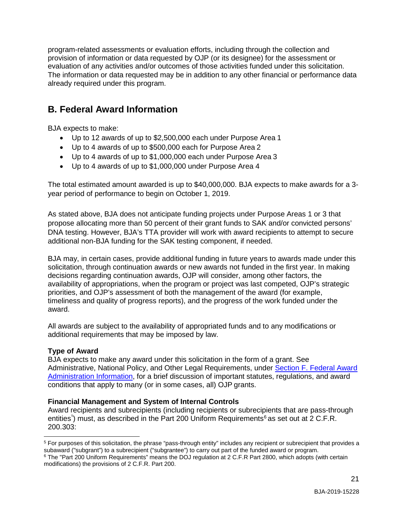provision of information or data requested by OJP (or its designee) for the assessment or program-related assessments or evaluation efforts, including through the collection and evaluation of any activities and/or outcomes of those activities funded under this solicitation. The information or data requested may be in addition to any other financial or performance data already required under this program.

# <span id="page-21-0"></span>**B. Federal Award Information**

BJA expects to make:

- Up to 12 awards of up to \$2,500,000 each under Purpose Area 1
- Up to 4 awards of up to \$500,000 each for Purpose Area 2
- Up to 4 awards of up to \$1,000,000 each under Purpose Area 3
- Up to 4 awards of up to \$1,000,000 under Purpose Area 4

The total estimated amount awarded is up to \$40,000,000. BJA expects to make awards for a 3 year period of performance to begin on October 1, 2019.

 propose allocating more than 50 percent of their grant funds to SAK and/or convicted persons' DNA testing. However, BJA's TTA provider will work with award recipients to attempt to secure additional non-BJA funding for the SAK testing component, if needed. As stated above, BJA does not anticipate funding projects under Purpose Areas 1 or 3 that

 BJA may, in certain cases, provide additional funding in future years to awards made under this decisions regarding continuation awards, OJP will consider, among other factors, the priorities, and OJP's assessment of both the management of the award (for example, timeliness and quality of progress reports), and the progress of the work funded under the solicitation, through continuation awards or new awards not funded in the first year. In making availability of appropriations, when the program or project was last competed, OJP's strategic award.

All awards are subject to the availability of appropriated funds and to any modifications or additional requirements that may be imposed by law.

## <span id="page-21-1"></span>**Type of Award**

 BJA expects to make any award under this solicitation in the form of a grant. See Administrative, National Policy, and Other Legal Requirements, under <u>Section F. Federal Award</u> Administration Information, for a brief discussion of important statutes, regulations, and award conditions that apply to many (or in some cases, all) OJP grants.

## <span id="page-21-2"></span> **Financial Management and System of Internal Controls**

 Award recipients and subrecipients (including recipients or subrecipients that are pass-through entities<sup>[5](#page-21-3)</sup>) must, as described in the Part 200 Uniform Requirements<sup>[6](#page-21-4)</sup> as set out at 2 C.F.R. 200.303:

<span id="page-21-3"></span><sup>-</sup><sup>5</sup> For purposes of this solicitation, the phrase "pass-through entity" includes any recipient or subrecipient that provides a subaward ("subgrant") to a subrecipient ("subgrantee") to carry out part of the funded award or program.

<span id="page-21-4"></span><sup>6</sup> The "Part 200 Uniform Requirements" means the DOJ regulation at 2 C.F.R Part 2800, which adopts (with certain modifications) the provisions of 2 C.F.R. Part 200.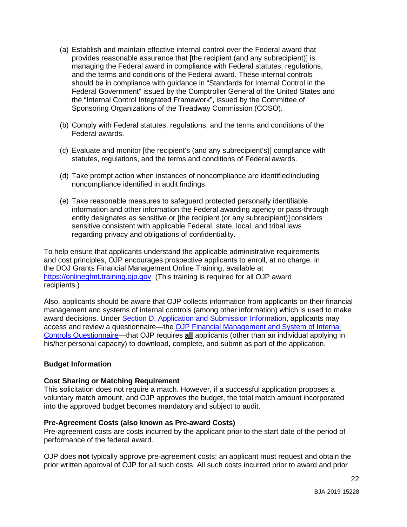- (a) Establish and maintain effective internal control over the Federal award that provides reasonable assurance that [the recipient (and any subrecipient)] is managing the Federal award in compliance with Federal statutes, regulations, and the terms and conditions of the Federal award. These internal controls should be in compliance with guidance in "Standards for Internal Control in the Federal Government" issued by the Comptroller General of the United States and the "Internal Control Integrated Framework", issued by the Committee of Sponsoring Organizations of the Treadway Commission (COSO).
- (b) Comply with Federal statutes, regulations, and the terms and conditions of the Federal awards.
- (c) Evaluate and monitor [the recipient's (and any subrecipient's)] compliance with statutes, regulations, and the terms and conditions of Federal awards.
- (d) Take prompt action when instances of noncompliance are identifiedincluding noncompliance identified in audit findings.
- (e) Take reasonable measures to safeguard protected personally identifiable information and other information the Federal awarding agency or pass-through entity designates as sensitive or [the recipient (or any subrecipient)] considers sensitive consistent with applicable Federal, state, local, and tribal laws regarding privacy and obligations of confidentiality.

To help ensure that applicants understand the applicable administrative requirements and cost principles, OJP encourages prospective applicants to enroll, at no charge, in the DOJ Grants Financial Management Online Training, available at [https://onlinegfmt.training.ojp.gov.](https://ojpfgm.webfirst.com/) (This training is required for all OJP award recipients.)

Also, applicants should be aware that OJP collects information from applicants on their financial management and systems of internal controls (among other information) which is used to make award decisions. Under [Section D. Application and Submission Information,](#page-24-4) applicants may access and review a questionnaire—the [OJP Financial Management and System of Internal](https://ojp.gov/funding/Apply/Resources/FinancialCapability.pdf) [Controls Questionnaire—](https://ojp.gov/funding/Apply/Resources/FinancialCapability.pdf)that OJP requires **all** applicants (other than an individual applying in his/her personal capacity) to download, complete, and submit as part of the application.

#### <span id="page-22-1"></span><span id="page-22-0"></span>**Budget Information**

#### **Cost Sharing or Matching Requirement**

This solicitation does not require a match. However, if a successful application proposes a voluntary match amount, and OJP approves the budget, the total match amount incorporated into the approved budget becomes mandatory and subject to audit.

#### <span id="page-22-2"></span>**Pre-Agreement Costs (also known as Pre-award Costs)**

Pre-agreement costs are costs incurred by the applicant prior to the start date of the period of performance of the federal award.

OJP does **not** typically approve pre-agreement costs; an applicant must request and obtain the prior written approval of OJP for all such costs. All such costs incurred prior to award and prior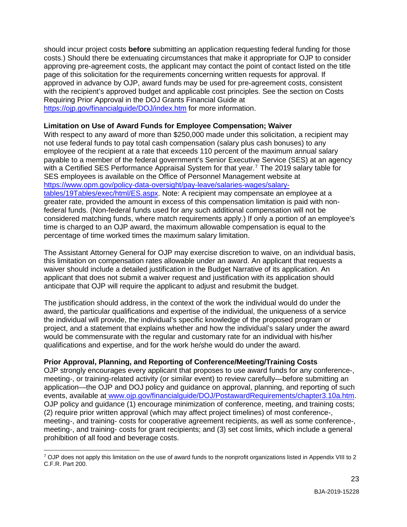costs.) Should there be extenuating circumstances that make it appropriate for OJP to consider should incur project costs **before** submitting an application requesting federal funding for those approving pre-agreement costs, the applicant may contact the point of contact listed on the title page of this solicitation for the requirements concerning written requests for approval. If approved in advance by OJP, award funds may be used for pre-agreement costs, consistent with the recipient's approved budget and applicable cost principles. See the section on Costs Requiring Prior Approval in the DOJ Grants Financial Guide at [https://ojp.gov/financialguide/DOJ/index.htm f](https://ojp.gov/financialguide/DOJ/index.htm)or more information.

#### <span id="page-23-0"></span>**Limitation on Use of Award Funds for Employee Compensation; Waiver**

 With respect to any award of more than \$250,000 made under this solicitation, a recipient may not use federal funds to pay total cash compensation (salary plus cash bonuses) to any employee of the recipient at a rate that exceeds 110 percent of the maximum annual salary payable to a member of the federal government's Senior Executive Service (SES) at an agency with a Certified SES Performance Appraisal System for that year.<sup>7</sup> The 2019 salary table for SES employees is available on the Office of Personnel Management website at [https://www.opm.gov/policy-data-oversight/pay-leave/salaries-wages/salary](https://www.opm.gov/policy-data-oversight/pay-leave/salaries-wages/salary-tables/19Tables/exec/html/ES.aspx)[tables/19Tables/exec/html/ES.aspx.](https://www.opm.gov/policy-data-oversight/pay-leave/salaries-wages/salary-tables/19Tables/exec/html/ES.aspx) Note: A recipient may compensate an employee at a greater rate, provided the amount in excess of this compensation limitation is paid with nonfederal funds. (Non-federal funds used for any such additional compensation will not be considered matching funds, where match requirements apply.) If only a portion of an employee's time is charged to an OJP award, the maximum allowable compensation is equal to the percentage of time worked times the maximum salary limitation.

 The Assistant Attorney General for OJP may exercise discretion to waive, on an individual basis, this limitation on compensation rates allowable under an award. An applicant that requests a waiver should include a detailed justification in the Budget Narrative of its application. An applicant that does not submit a waiver request and justification with its application should anticipate that OJP will require the applicant to adjust and resubmit the budget.

 The justification should address, in the context of the work the individual would do under the award, the particular qualifications and expertise of the individual, the uniqueness of a service qualifications and expertise, and for the work he/she would do under the award. the individual will provide, the individual's specific knowledge of the proposed program or project, and a statement that explains whether and how the individual's salary under the award would be commensurate with the regular and customary rate for an individual with his/her

## <span id="page-23-1"></span>**Prior Approval, Planning, and Reporting of Conference/Meeting/Training Costs**

 meeting-, or training-related activity (or similar event) to review carefully—before submitting an application—the OJP and DOJ policy and guidance on approval, planning, and reporting of such meeting-, and training- costs for grant recipients; and (3) set cost limits, which include a general prohibition of all food and beverage costs. OJP strongly encourages every applicant that proposes to use award funds for any conference-, events, available at<www.ojp.gov/financialguide/DOJ/PostawardRequirements/chapter3.10a.htm>. OJP policy and guidance (1) encourage minimization of conference, meeting, and training costs; (2) require prior written approval (which may affect project timelines) of most conference-, meeting-, and training- costs for cooperative agreement recipients, as well as some conference-,

<span id="page-23-2"></span> $\overline{a}$  $7$  OJP does not apply this limitation on the use of award funds to the nonprofit organizations listed in Appendix VIII to 2 C.F.R. Part 200.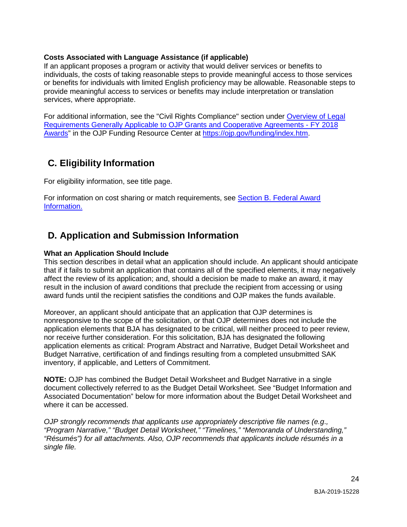#### <span id="page-24-4"></span><span id="page-24-1"></span>**Costs Associated with Language Assistance (if applicable)**

 If an applicant proposes a program or activity that would deliver services or benefits to individuals, the costs of taking reasonable steps to provide meaningful access to those services or benefits for individuals with limited English proficiency may be allowable. Reasonable steps to provide meaningful access to services or benefits may include interpretation or translation services, where appropriate.

 [Requirements Generally Applicable to OJP Grants and Cooperative Agreements - FY 2018](https://ojp.gov/funding/Explore/LegalOverview/index.htm)  For additional information, see the "Civil Rights Compliance" section under [Overview of Legal](https://ojp.gov/funding/Explore/LegalOverview/index.htm)  [Awards"](https://ojp.gov/funding/Explore/LegalOverview/index.htm) in the OJP Funding Resource Center at [https://ojp.gov/funding/index.htm.](https://ojp.gov/funding/index.htm)

# <span id="page-24-2"></span> **C. Eligibility Information**

For eligibility information, see title page.

For information on cost sharing or match requirements, see Section B. Federal Award Information.

# <span id="page-24-0"></span>**D. Application and Submission Information**

#### <span id="page-24-3"></span>**What an Application Should Include**

 affect the review of its application; and, should a decision be made to make an award, it may award funds until the recipient satisfies the conditions and OJP makes the funds available. This section describes in detail what an application should include. An applicant should anticipate that if it fails to submit an application that contains all of the specified elements, it may negatively result in the inclusion of award conditions that preclude the recipient from accessing or using

 nonresponsive to the scope of the solicitation, or that OJP determines does not include the application elements as critical: Program Abstract and Narrative, Budget Detail Worksheet and Moreover, an applicant should anticipate that an application that OJP determines is application elements that BJA has designated to be critical, will neither proceed to peer review, nor receive further consideration. For this solicitation, BJA has designated the following Budget Narrative, certification of and findings resulting from a completed unsubmitted SAK inventory, if applicable, and Letters of Commitment.

**NOTE:** OJP has combined the Budget Detail Worksheet and Budget Narrative in a single document collectively referred to as the Budget Detail Worksheet. See "Budget Information and Associated Documentation" below for more information about the Budget Detail Worksheet and where it can be accessed.

 *"Résumés") for all attachments. Also, OJP recommends that applicants include résumés in a OJP strongly recommends that applicants use appropriately descriptive file names (e.g*.*, "Program Narrative," "Budget Detail Worksheet," "Timelines," "Memoranda of Understanding," single file.*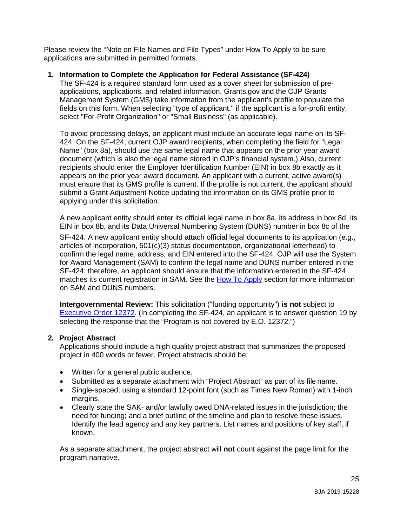Please review the "Note on File Names and File Types" under How To Apply to be sure applications are submitted in permitted formats.

## **1. Information to Complete the Application for Federal Assistance (SF-424)**

 applications, applications, and related information. [Grants.gov](https://Grants.gov) and the OJP Grants fields on this form. When selecting "type of applicant," if the applicant is a for-profit entity, The SF-424 is a required standard form used as a cover sheet for submission of pre-Management System (GMS) take information from the applicant's profile to populate the select "For-Profit Organization" or "Small Business" (as applicable).

 document (which is also the legal name stored in OJP's financial system.) Also, current recipients should enter the Employer Identification Number (EIN) in box 8b exactly as it must ensure that its GMS profile is current. If the profile is not current, the applicant should To avoid processing delays, an applicant must include an accurate legal name on its SF-424. On the SF-424, current OJP award recipients, when completing the field for "Legal Name" (box 8a), should use the same legal name that appears on the prior year award appears on the prior year award document. An applicant with a current, active award(s) submit a Grant Adjustment Notice updating the information on its GMS profile prior to applying under this solicitation.

A new applicant entity should enter its official legal name in box 8a, its address in box 8d, its EIN in box 8b, and its Data Universal Numbering System (DUNS) number in box 8c of the

matches its current registration in SAM. See the [How To Apply s](#page-37-0)ection for more information SF-424. A new applicant entity should attach official legal documents to its application (e.g., articles of incorporation, 501(c)(3) status documentation, organizational letterhead) to confirm the legal name, address, and EIN entered into the SF-424. OJP will use the System for Award Management (SAM) to confirm the legal name and DUNS number entered in the SF-424; therefore, an applicant should ensure that the information entered in the SF-424 on SAM and DUNS numbers.

**Intergovernmental Review:** This solicitation ("funding opportunity") **is not** subject to [Executive Order 12372.](http://www.archives.gov/federal-register/codification/executive-order/12372.html) (In completing the SF-424, an applicant is to answer question 19 by selecting the response that the "Program is not covered by E.O. 12372.")

### **2. Project Abstract**

 Applications should include a high quality project abstract that summarizes the proposed project in 400 words or fewer. Project abstracts should be:

- Written for a general public audience.
- Submitted as a separate attachment with "Project Abstract" as part of its file name.
- • Single-spaced, using a standard 12-point font (such as Times New Roman) with 1-inch margins.
- Clearly state the SAK- and/or lawfully owed DNA-related issues in the jurisdiction; the need for funding; and a brief outline of the timeline and plan to resolve these issues. Identify the lead agency and any key partners. List names and positions of key staff, if known.

 As a separate attachment, the project abstract will **not** count against the page limit for the program narrative.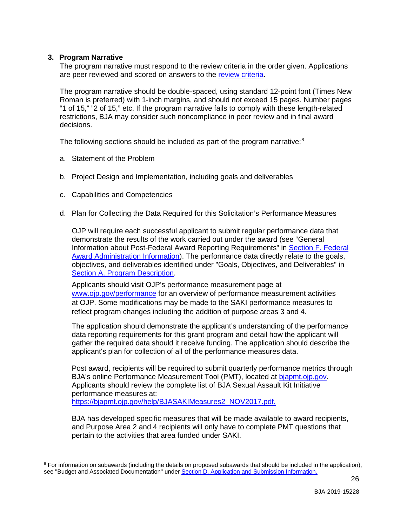#### **3. Program Narrative**

 $\ddot{\phantom{a}}$ 

The program narrative must respond to the review criteria in the order given. Applications are peer reviewed and scored on answers to the [review criteria.](#page-42-1)

The program narrative should be double-spaced, using standard 12-point font (Times New Roman is preferred) with 1-inch margins, and should not exceed 15 pages. Number pages "1 of 15," "2 of 15," etc. If the program narrative fails to comply with these length-related restrictions, BJA may consider such noncompliance in peer review and in final award decisions.

The following sections should be included as part of the program narrative:<sup>8</sup>

- a. Statement of the Problem
- b. Project Design and Implementation, including goals and deliverables
- c. Capabilities and Competencies
- d. Plan for Collecting the Data Required for this Solicitation's Performance Measures

 OJP will require each successful applicant to submit regular performance data that demonstrate the results of the work carried out under the award (see "General Award Administration Information). The performance data directly relate to the goals, Information about Post-Federal Award Reporting Requirements" in [Section F. Federal](#page-49-0)  objectives, and deliverables identified under "Goals, Objectives, and Deliverables" in [Section A. Program Description.](#page-5-0)

Applicants should visit OJP's performance measurement page at [www.ojp.gov/performance f](http://www.ojp.gov/performance)or an overview of performance measurement activities at OJP. Some modifications may be made to the SAKI performance measures to reflect program changes including the addition of purpose areas 3 and 4.

 data reporting requirements for this grant program and detail how the applicant will gather the required data should it receive funding. The application should describe the applicant's plan for collection of all of the performance measures data. The application should demonstrate the applicant's understanding of the performance

 performance measures at: Post award, recipients will be required to submit quarterly performance metrics through BJA's online Performance Measurement Tool (PMT), located at [bjapmt.ojp.gov.](https://bjapmt.ojp.gov/) Applicants should review the complete list of BJA Sexual Assault Kit Initiative [https://bjapmt.ojp.gov/help/BJASAKIMeasures2\\_NOV2017.pdf.](https://bjapmt.ojp.gov/help/BJASAKIMeasures2_NOV2017.pdf)

BJA has developed specific measures that will be made available to award recipients, and Purpose Area 2 and 4 recipients will only have to complete PMT questions that pertain to the activities that area funded under SAKI.

<span id="page-26-0"></span><sup>&</sup>lt;sup>8</sup> For information on subawards (including the details on proposed subawards that should be included in the application), see "Budget and Associated Documentation" under [Section D. Application and Submission Information.](#page-24-0)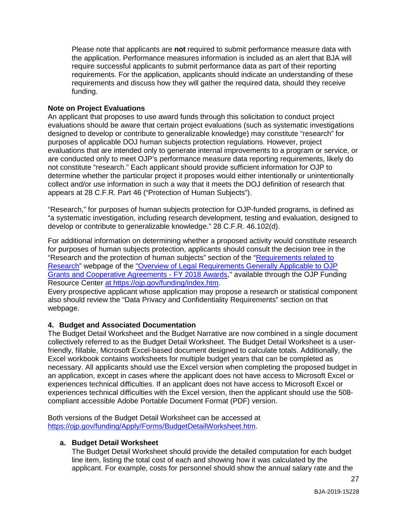require successful applicants to submit performance data as part of their reporting requirements. For the application, applicants should indicate an understanding of these Please note that applicants are **not** required to submit performance measure data with the application. Performance measures information is included as an alert that BJA will requirements and discuss how they will gather the required data, should they receive funding.

#### **Note on Project Evaluations**

 designed to develop or contribute to generalizable knowledge) may constitute "research" for not constitute "research." Each applicant should provide sufficient information for OJP to An applicant that proposes to use award funds through this solicitation to conduct project evaluations should be aware that certain project evaluations (such as systematic investigations purposes of applicable DOJ human subjects protection regulations. However, project evaluations that are intended only to generate internal improvements to a program or service, or are conducted only to meet OJP's performance measure data reporting requirements, likely do determine whether the particular project it proposes would either intentionally or unintentionally collect and/or use information in such a way that it meets the DOJ definition of research that appears at 28 C.F.R. Part 46 ("Protection of Human Subjects").

"Research," for purposes of human subjects protection for OJP-funded programs, is defined as "a systematic investigation, including research development, testing and evaluation, designed to develop or contribute to generalizable knowledge." 28 C.F.R. 46.102(d).

"Research and the protection of human subjects" section of the "<u>Requirements related to</u> For additional information on determining whether a proposed activity would constitute research for purposes of human subjects protection, applicants should consult the decision tree in the [Research"](https://ojp.gov/funding/Explore/SolicitationRequirements/EvidenceResearchEvaluationRequirements.htm) webpage of the ["Overview of Legal Requirements Generally Applicable to OJP](https://ojp.gov/funding/Explore/LegalOverview/index.htm)  [Grants and Cooperative Agreements -](https://ojp.gov/funding/Explore/LegalOverview/index.htm) FY 2018 Awards," available through the OJP Funding Resource Center at https://ojp.gov/funding/index.htm.

Every prospective applicant whose application may propose a research or statistical component also should review the "Data Privacy and Confidentiality Requirements" section on that webpage.

#### **4. Budget and Associated Documentation**

 friendly, fillable, Microsoft Excel-based document designed to calculate totals. Additionally, the Excel workbook contains worksheets for multiple budget years that can be completed as compliant accessible Adobe Portable Document Format (PDF) version. The Budget Detail Worksheet and the Budget Narrative are now combined in a single document collectively referred to as the Budget Detail Worksheet. The Budget Detail Worksheet is a usernecessary. All applicants should use the Excel version when completing the proposed budget in an application, except in cases where the applicant does not have access to Microsoft Excel or experiences technical difficulties. If an applicant does not have access to Microsoft Excel or experiences technical difficulties with the Excel version, then the applicant should use the 508-

Both versions of the Budget Detail Worksheet can be accessed at [https://ojp.gov/funding/Apply/Forms/BudgetDetailWorksheet.htm.](https://ojp.gov/funding/Apply/Forms/BudgetDetailWorksheet.htm)

#### **a. Budget Detail Worksheet**

 The Budget Detail Worksheet should provide the detailed computation for each budget applicant. For example, costs for personnel should show the annual salary rate and the line item, listing the total cost of each and showing how it was calculated by the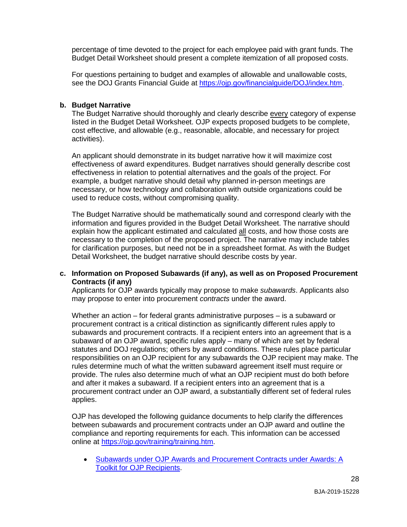percentage of time devoted to the project for each employee paid with grant funds. The Budget Detail Worksheet should present a complete itemization of all proposed costs.

For questions pertaining to budget and examples of allowable and unallowable costs, see the DOJ Grants Financial Guide at [https://ojp.gov/financialguide/DOJ/index.htm.](https://ojp.gov/financialguide/DOJ/index.htm)

#### **b. Budget Narrative**

 cost effective, and allowable (e.g., reasonable, allocable, and necessary for project The Budget Narrative should thoroughly and clearly describe every category of expense listed in the Budget Detail Worksheet. OJP expects proposed budgets to be complete, activities).

 effectiveness in relation to potential alternatives and the goals of the project. For example, a budget narrative should detail why planned in-person meetings are An applicant should demonstrate in its budget narrative how it will maximize cost effectiveness of award expenditures. Budget narratives should generally describe cost necessary, or how technology and collaboration with outside organizations could be used to reduce costs, without compromising quality.

The Budget Narrative should be mathematically sound and correspond clearly with the information and figures provided in the Budget Detail Worksheet. The narrative should explain how the applicant estimated and calculated all costs, and how those costs are necessary to the completion of the proposed project. The narrative may include tables for clarification purposes, but need not be in a spreadsheet format. As with the Budget Detail Worksheet, the budget narrative should describe costs by year.

#### **Contracts (if any) c. Information on Proposed Subawards (if any), as well as on Proposed Procurement**

 Applicants for OJP awards typically may propose to make *subawards*. Applicants also may propose to enter into procurement *contracts* under the award.

 procurement contract is a critical distinction as significantly different rules apply to subaward of an OJP award, specific rules apply – many of which are set by federal statutes and DOJ regulations; others by award conditions. These rules place particular responsibilities on an OJP recipient for any subawards the OJP recipient may make. The Whether an action – for federal grants administrative purposes – is a subaward or subawards and procurement contracts. If a recipient enters into an agreement that is a rules determine much of what the written subaward agreement itself must require or provide. The rules also determine much of what an OJP recipient must do both before and after it makes a subaward. If a recipient enters into an agreement that is a procurement contract under an OJP award, a substantially different set of federal rules applies.

 compliance and reporting requirements for each. This information can be accessed OJP has developed the following guidance documents to help clarify the differences between subawards and procurement contracts under an OJP award and outline the online at [https://ojp.gov/training/training.htm.](https://ojp.gov/training/training.htm)

• Subawards under OJP Awards and Procurement Contracts under Awards: A Toolkit for OJP Recipients.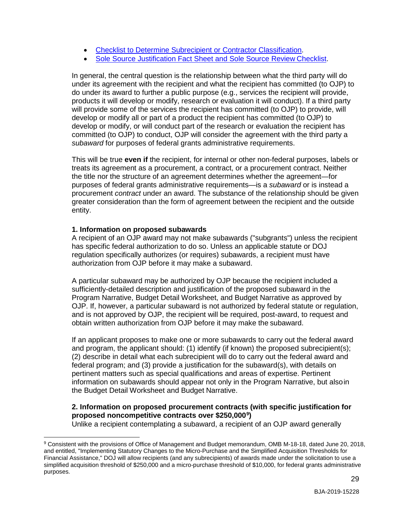- Checklist to Determine Subrecipient or Contractor Classification.
- Sole Source Justification Fact Sheet and Sole Source Review Checklist.

 In general, the central question is the relationship between what the third party will do products it will develop or modify, research or evaluation it will conduct). If a third party will provide some of the services the recipient has committed (to OJP) to provide, will develop or modify all or part of a product the recipient has committed (to OJP) to *subaward* for purposes of federal grants administrative requirements. under its agreement with the recipient and what the recipient has committed (to OJP) to do under its award to further a public purpose (e.g., services the recipient will provide, develop or modify, or will conduct part of the research or evaluation the recipient has committed (to OJP) to conduct, OJP will consider the agreement with the third party a

 This will be true **even if** the recipient, for internal or other non-federal purposes, labels or the title nor the structure of an agreement determines whether the agreement—for purposes of federal grants administrative requirements—is a *subaward* or is instead a procurement *contract* under an award. The substance of the relationship should be given treats its agreement as a procurement, a contract, or a procurement contract. Neither greater consideration than the form of agreement between the recipient and the outside entity.

#### **1. Information on proposed subawards**

 $\ddot{\phantom{a}}$ 

 regulation specifically authorizes (or requires) subawards, a recipient must have A recipient of an OJP award may not make subawards ("subgrants") unless the recipient has specific federal authorization to do so. Unless an applicable statute or DOJ authorization from OJP before it may make a subaward.

 obtain written authorization from OJP before it may make the subaward. A particular subaward may be authorized by OJP because the recipient included a sufficiently-detailed description and justification of the proposed subaward in the Program Narrative, Budget Detail Worksheet, and Budget Narrative as approved by OJP. If, however, a particular subaward is not authorized by federal statute or regulation, and is not approved by OJP, the recipient will be required, post-award, to request and

 and program, the applicant should: (1) identify (if known) the proposed subrecipient(s); (2) describe in detail what each subrecipient will do to carry out the federal award and the Budget Detail Worksheet and Budget Narrative. If an applicant proposes to make one or more subawards to carry out the federal award federal program; and (3) provide a justification for the subaward(s), with details on pertinent matters such as special qualifications and areas of expertise. Pertinent information on subawards should appear not only in the Program Narrative, but alsoin

#### **proposed noncompetitive contracts over \$250,000[9](#page-29-0) ) 2. Information on proposed procurement contracts (with specific justification for**

Unlike a recipient contemplating a subaward, a recipient of an OJP award generally

<span id="page-29-0"></span><sup>9</sup> Consistent with the provisions of Office of Management and Budget memorandum, OMB M-18-18, dated June 20, 2018, and entitled, "Implementing Statutory Changes to the Micro-Purchase and the Simplified Acquisition Thresholds for Financial Assistance," DOJ will allow recipients (and any subrecipients) of awards made under the solicitation to use a simplified acquisition threshold of \$250,000 and a micro-purchase threshold of \$10,000, for federal grants administrative purposes.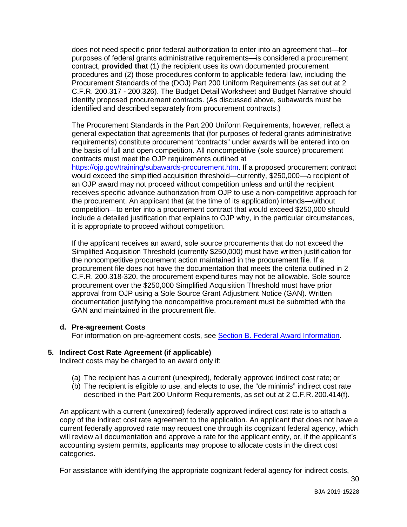purposes of federal grants administrative requirements—is considered a procurement procedures and (2) those procedures conform to applicable federal law, including the Procurement Standards of the (DOJ) Part 200 Uniform Requirements (as set out at 2 does not need specific prior federal authorization to enter into an agreement that—for contract, **provided that** (1) the recipient uses its own documented procurement C.F.R. 200.317 - 200.326). The Budget Detail Worksheet and Budget Narrative should identify proposed procurement contracts. (As discussed above, subawards must be identified and described separately from procurement contracts.)

 general expectation that agreements that (for purposes of federal grants administrative contracts must meet the OJP requirements outlined at The Procurement Standards in the Part 200 Uniform Requirements, however, reflect a requirements) constitute procurement "contracts" under awards will be entered into on the basis of full and open competition. All noncompetitive (sole source) procurement

 the procurement. An applicant that (at the time of its application) intends—without [https://ojp.gov/training/subawards-procurement.htm.](https://ojp.gov/training/subawards-procurement.htm) If a proposed procurement contract would exceed the simplified acquisition threshold—currently, \$250,000—a recipient of an OJP award may not proceed without competition unless and until the recipient receives specific advance authorization from OJP to use a non-competitive approach for competition—to enter into a procurement contract that would exceed \$250,000 should include a detailed justification that explains to OJP why, in the particular circumstances, it is appropriate to proceed without competition.

 the noncompetitive procurement action maintained in the procurement file. If a procurement file does not have the documentation that meets the criteria outlined in 2 procurement over the \$250,000 Simplified Acquisition Threshold must have prior If the applicant receives an award, sole source procurements that do not exceed the Simplified Acquisition Threshold (currently \$250,000) must have written justification for C.F.R. 200.318-320, the procurement expenditures may not be allowable. Sole source approval from OJP using a Sole Source Grant Adjustment Notice (GAN). Written documentation justifying the noncompetitive procurement must be submitted with the GAN and maintained in the procurement file.

#### **d. Pre-agreement Costs**

For information on pre-agreement costs, see [Section B. Federal Award Information.](#page-21-0)

#### **5. Indirect Cost Rate Agreement (if applicable)**

Indirect costs may be charged to an award only if:

- (a) The recipient has a current (unexpired), federally approved indirect cost rate; or
- (b) The recipient is eligible to use, and elects to use, the "de minimis" indirect cost rate described in the Part 200 Uniform Requirements, as set out at 2 C.F.R. 200.414(f).

 copy of the indirect cost rate agreement to the application. An applicant that does not have a will review all documentation and approve a rate for the applicant entity, or, if the applicant's An applicant with a current (unexpired) federally approved indirect cost rate is to attach a current federally approved rate may request one through its cognizant federal agency, which accounting system permits, applicants may propose to allocate costs in the direct cost categories.

For assistance with identifying the appropriate cognizant federal agency for indirect costs,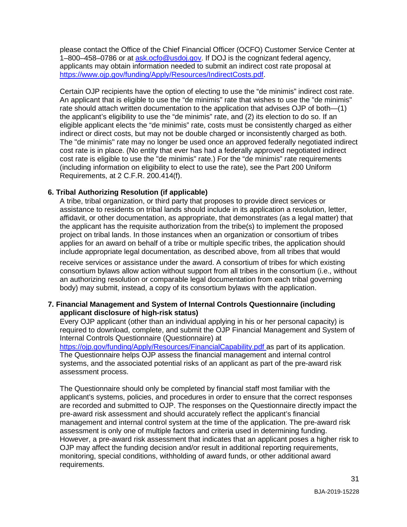please contact the Office of the Chief Financial Officer (OCFO) Customer Service Center at applicants may obtain information needed to submit an indirect cost rate proposal at 1–800–458–0786 or at [ask.ocfo@usdoj.gov.](mailto:ask.ocfo@usdoj.gov) If DOJ is the cognizant federal agency, [https://www.ojp.gov/funding/Apply/Resources/IndirectCosts.pdf.](https://www.ojp.gov/funding/Apply/Resources/IndirectCosts.pdf)

 Certain OJP recipients have the option of electing to use the "de minimis" indirect cost rate. indirect or direct costs, but may not be double charged or inconsistently charged as both. An applicant that is eligible to use the "de minimis" rate that wishes to use the "de minimis" rate should attach written documentation to the application that advises OJP of both—(1) the applicant's eligibility to use the "de minimis" rate, and (2) its election to do so. If an eligible applicant elects the "de minimis" rate, costs must be consistently charged as either The "de minimis" rate may no longer be used once an approved federally negotiated indirect cost rate is in place. (No entity that ever has had a federally approved negotiated indirect cost rate is eligible to use the "de minimis" rate.) For the "de minimis" rate requirements (including information on eligibility to elect to use the rate), see the Part 200 Uniform Requirements, at 2 C.F.R. 200.414(f).

#### **6. Tribal Authorizing Resolution (if applicable)**

 A tribe, tribal organization, or third party that proposes to provide direct services or affidavit, or other documentation, as appropriate, that demonstrates (as a legal matter) that assistance to residents on tribal lands should include in its application a resolution, letter, the applicant has the requisite authorization from the tribe(s) to implement the proposed project on tribal lands. In those instances when an organization or consortium of tribes applies for an award on behalf of a tribe or multiple specific tribes, the application should include appropriate legal documentation, as described above, from all tribes that would

 receive services or assistance under the award. A consortium of tribes for which existing consortium bylaws allow action without support from all tribes in the consortium (i.e., without an authorizing resolution or comparable legal documentation from each tribal governing body) may submit, instead, a copy of its consortium bylaws with the application.

#### **applicant disclosure of high-risk status) 7. Financial Management and System of Internal Controls Questionnaire (including**

Every OJP applicant (other than an individual applying in his or her personal capacity) is required to download, complete, and submit the OJP Financial Management and System of Internal Controls Questionnaire (Questionnaire) at

 systems, and the associated potential risks of an applicant as part of the pre-award risk [https://ojp.gov/funding/Apply/Resources/FinancialCapability.pdf a](https://ojp.gov/funding/Apply/Resources/FinancialCapability.pdf)s part of its application. The Questionnaire helps OJP assess the financial management and internal control assessment process.

 The Questionnaire should only be completed by financial staff most familiar with the applicant's systems, policies, and procedures in order to ensure that the correct responses pre-award risk assessment and should accurately reflect the applicant's financial However, a pre-award risk assessment that indicates that an applicant poses a higher risk to are recorded and submitted to OJP. The responses on the Questionnaire directly impact the management and internal control system at the time of the application. The pre-award risk assessment is only one of multiple factors and criteria used in determining funding. OJP may affect the funding decision and/or result in additional reporting requirements, monitoring, special conditions, withholding of award funds, or other additional award requirements.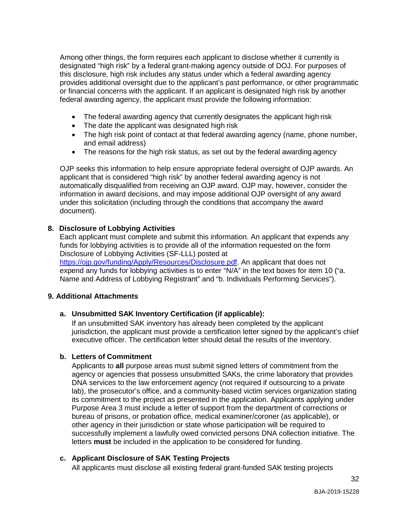Among other things, the form requires each applicant to disclose whether it currently is designated "high risk" by a federal grant-making agency outside of DOJ. For purposes of this disclosure, high risk includes any status under which a federal awarding agency provides additional oversight due to the applicant's past performance, or other programmatic or financial concerns with the applicant. If an applicant is designated high risk by another federal awarding agency, the applicant must provide the following information:

- The federal awarding agency that currently designates the applicant high risk
- The date the applicant was designated high risk
- and email address) • The high risk point of contact at that federal awarding agency (name, phone number,
- The reasons for the high risk status, as set out by the federal awarding agency

OJP seeks this information to help ensure appropriate federal oversight of OJP awards. An applicant that is considered "high risk" by another federal awarding agency is not automatically disqualified from receiving an OJP award. OJP may, however, consider the information in award decisions, and may impose additional OJP oversight of any award under this solicitation (including through the conditions that accompany the award document).

### **8. Disclosure of Lobbying Activities**

 funds for lobbying activities is to provide all of the information requested on the form Disclosure of Lobbying Activities (SF-LLL) posted at [https://ojp.gov/funding/Apply/Resources/Disclosure.pdf.](https://ojp.gov/funding/Apply/Resources/Disclosure.pdf) An applicant that does not Each applicant must complete and submit this information. An applicant that expends any

expend any funds for lobbying activities is to enter "N/A" in the text boxes for item 10 ("a. Name and Address of Lobbying Registrant" and "b. Individuals Performing Services").

#### **9. Additional Attachments**

## **a. Unsubmitted SAK Inventory Certification (if applicable):**

If an unsubmitted SAK inventory has already been completed by the applicant jurisdiction, the applicant must provide a certification letter signed by the applicant's chief executive officer. The certification letter should detail the results of the inventory.

#### **b. Letters of Commitment**

 Applicants to **all** purpose areas must submit signed letters of commitment from the agency or agencies that possess unsubmitted SAKs, the crime laboratory that provides lab), the prosecutor's office, and a community-based victim services organization stating Purpose Area 3 must include a letter of support from the department of corrections or bureau of prisons, or probation office, medical examiner/coroner (as applicable), or DNA services to the law enforcement agency (not required if outsourcing to a private its commitment to the project as presented in the application. Applicants applying under other agency in their jurisdiction or state whose participation will be required to successfully implement a lawfully owed convicted persons DNA collection initiative. The letters **must** be included in the application to be considered for funding.

#### **c. Applicant Disclosure of SAK Testing Projects**

All applicants must disclose all existing federal grant-funded SAK testing projects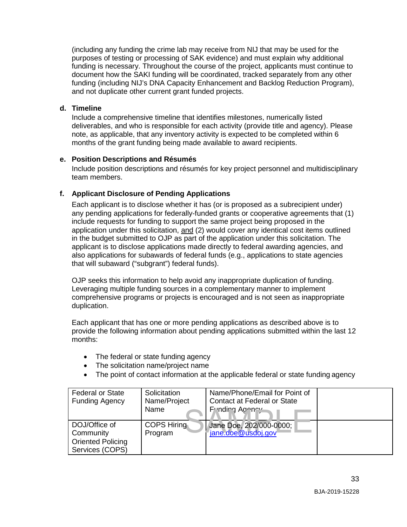document how the SAKI funding will be coordinated, tracked separately from any other and not duplicate other current grant funded projects. (including any funding the crime lab may receive from NIJ that may be used for the purposes of testing or processing of SAK evidence) and must explain why additional funding is necessary. Throughout the course of the project, applicants must continue to funding (including NIJ's DNA Capacity Enhancement and Backlog Reduction Program),

#### **d. Timeline**

 months of the grant funding being made available to award recipients. Include a comprehensive timeline that identifies milestones, numerically listed deliverables, and who is responsible for each activity (provide title and agency). Please note, as applicable, that any inventory activity is expected to be completed within 6

#### **e. Position Descriptions and Résumés**

 Include position descriptions and résumés for key project personnel and multidisciplinary team members.

### **f. Applicant Disclosure of Pending Applications**

 any pending applications for federally-funded grants or cooperative agreements that (1) include requests for funding to support the same project being proposed in the in the budget submitted to OJP as part of the application under this solicitation. The also applications for subawards of federal funds (e.g., applications to state agencies that will subaward ("subgrant") federal funds). Each applicant is to disclose whether it has (or is proposed as a subrecipient under) application under this solicitation, and (2) would cover any identical cost items outlined applicant is to disclose applications made directly to federal awarding agencies, and

OJP seeks this information to help avoid any inappropriate duplication of funding. Leveraging multiple funding sources in a complementary manner to implement comprehensive programs or projects is encouraged and is not seen as inappropriate duplication.

 Each applicant that has one or more pending applications as described above is to provide the following information about pending applications submitted within the last 12 months:

- The federal or state funding agency
- The solicitation name/project name
- The point of contact information at the applicable federal or state funding agency

| <b>Federal or State</b><br><b>Funding Agency</b>                          | Solicitation<br>Name/Project<br>Name | Name/Phone/Email for Point of<br><b>Contact at Federal or State</b><br>Funding Agoney |  |
|---------------------------------------------------------------------------|--------------------------------------|---------------------------------------------------------------------------------------|--|
| DOJ/Office of<br>Community<br><b>Oriented Policing</b><br>Services (COPS) | <b>COPS Hiring</b><br>Program        | Jane Doe, 202/000-0000;<br>jane.doe@usdoj.gov                                         |  |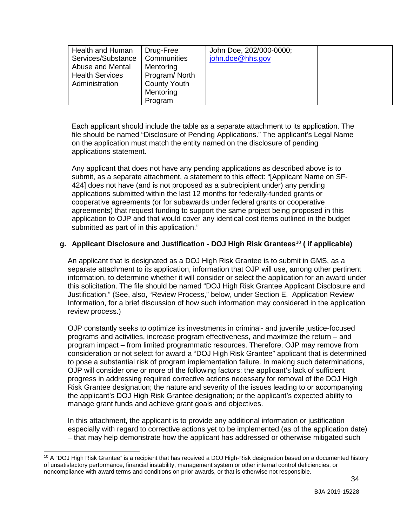| Health and Human       | Drug-Free           | John Doe, 202/000-0000; |  |
|------------------------|---------------------|-------------------------|--|
| Services/Substance     | Communities         | john.doe@hhs.gov        |  |
| Abuse and Mental       | Mentoring           |                         |  |
| <b>Health Services</b> | Program/North       |                         |  |
| Administration         | <b>County Youth</b> |                         |  |
|                        | Mentoring           |                         |  |
|                        | Program             |                         |  |

 on the application must match the entity named on the disclosure of pending Each applicant should include the table as a separate attachment to its application. The file should be named "Disclosure of Pending Applications." The applicant's Legal Name applications statement.

 applications submitted within the last 12 months for federally-funded grants or cooperative agreements (or for subawards under federal grants or cooperative Any applicant that does not have any pending applications as described above is to submit, as a separate attachment, a statement to this effect: "[Applicant Name on SF-424] does not have (and is not proposed as a subrecipient under) any pending agreements) that request funding to support the same project being proposed in this application to OJP and that would cover any identical cost items outlined in the budget submitted as part of in this application."

## **g. Applicant Disclosure and Justification - DOJ High Risk Grantees**[10](#page-34-0) **( if applicable)**

 information, to determine whether it will consider or select the application for an award under An applicant that is designated as a DOJ High Risk Grantee is to submit in GMS, as a separate attachment to its application, information that OJP will use, among other pertinent this solicitation. The file should be named "DOJ High Risk Grantee Applicant Disclosure and Justification." (See, also, "Review Process," below, under Section E. Application Review Information, for a brief discussion of how such information may considered in the application review process.)

 consideration or not select for award a "DOJ High Risk Grantee" applicant that is determined OJP will consider one or more of the following factors: the applicant's lack of sufficient OJP constantly seeks to optimize its investments in criminal- and juvenile justice-focused programs and activities, increase program effectiveness, and maximize the return – and program impact – from limited programmatic resources. Therefore, OJP may remove from to pose a substantial risk of program implementation failure. In making such determinations, progress in addressing required corrective actions necessary for removal of the DOJ High Risk Grantee designation; the nature and severity of the issues leading to or accompanying the applicant's DOJ High Risk Grantee designation; or the applicant's expected ability to manage grant funds and achieve grant goals and objectives.

 especially with regard to corrective actions yet to be implemented (as of the application date) In this attachment, the applicant is to provide any additional information or justification – that may help demonstrate how the applicant has addressed or otherwise mitigated such

<span id="page-34-0"></span> of unsatisfactory performance, financial instability, management system or other internal control deficiencies, or noncompliance with award terms and conditions on prior awards, or that is otherwise not responsible.  $10$  A "DOJ High Risk Grantee" is a recipient that has received a DOJ High-Risk designation based on a documented history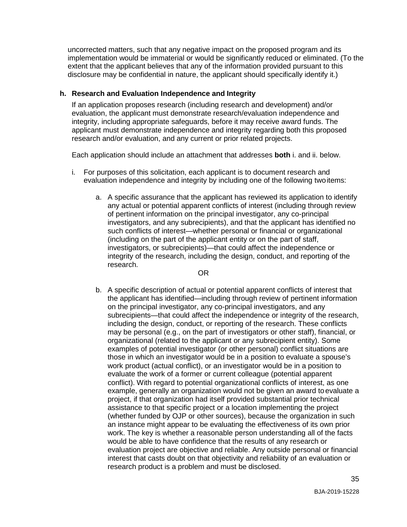extent that the applicant believes that any of the information provided pursuant to this uncorrected matters, such that any negative impact on the proposed program and its implementation would be immaterial or would be significantly reduced or eliminated. (To the disclosure may be confidential in nature, the applicant should specifically identify it.)

#### **h. Research and Evaluation Independence and Integrity**

 If an application proposes research (including research and development) and/or evaluation, the applicant must demonstrate research/evaluation independence and integrity, including appropriate safeguards, before it may receive award funds. The applicant must demonstrate independence and integrity regarding both this proposed research and/or evaluation, and any current or prior related projects.

Each application should include an attachment that addresses **both** i. and ii. below.

- i. For purposes of this solicitation, each applicant is to document research and evaluation independence and integrity by including one of the following twoitems:
	- any actual or potential apparent conflicts of interest (including through review integrity of the research, including the design, conduct, and reporting of the a. A specific assurance that the applicant has reviewed its application to identify of pertinent information on the principal investigator, any co-principal investigators, and any subrecipients), and that the applicant has identified no such conflicts of interest—whether personal or financial or organizational (including on the part of the applicant entity or on the part of staff, investigators, or subrecipients)—that could affect the independence or research.

#### OR

 b. A specific description of actual or potential apparent conflicts of interest that may be personal (e.g., on the part of investigators or other staff), financial, or example, generally an organization would not be given an award to evaluate a project, if that organization had itself provided substantial prior technical assistance to that specific project or a location implementing the project work. The key is whether a reasonable person understanding all of the facts research product is a problem and must be disclosed. the applicant has identified—including through review of pertinent information on the principal investigator, any co-principal investigators, and any subrecipients—that could affect the independence or integrity of the research, including the design, conduct, or reporting of the research. These conflicts organizational (related to the applicant or any subrecipient entity). Some examples of potential investigator (or other personal) conflict situations are those in which an investigator would be in a position to evaluate a spouse's work product (actual conflict), or an investigator would be in a position to evaluate the work of a former or current colleague (potential apparent conflict). With regard to potential organizational conflicts of interest, as one (whether funded by OJP or other sources), because the organization in such an instance might appear to be evaluating the effectiveness of its own prior would be able to have confidence that the results of any research or evaluation project are objective and reliable. Any outside personal or financial interest that casts doubt on that objectivity and reliability of an evaluation or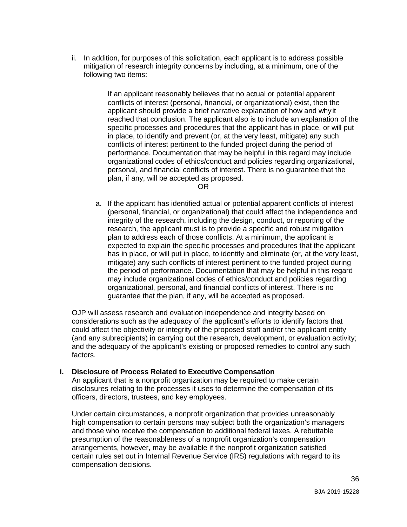ii. In addition, for purposes of this solicitation, each applicant is to address possible following two items: mitigation of research integrity concerns by including, at a minimum, one of the

> If an applicant reasonably believes that no actual or potential apparent conflicts of interest (personal, financial, or organizational) exist, then the applicant should provide a brief narrative explanation of how and whyit reached that conclusion. The applicant also is to include an explanation of the specific processes and procedures that the applicant has in place, or will put in place, to identify and prevent (or, at the very least, mitigate) any such conflicts of interest pertinent to the funded project during the period of performance. Documentation that may be helpful in this regard may include organizational codes of ethics/conduct and policies regarding organizational, personal, and financial conflicts of interest. There is no guarantee that the plan, if any, will be accepted as proposed.

OR

 research, the applicant must is to provide a specific and robust mitigation expected to explain the specific processes and procedures that the applicant mitigate) any such conflicts of interest pertinent to the funded project during organizational, personal, and financial conflicts of interest. There is no guarantee that the plan, if any, will be accepted as proposed. a. If the applicant has identified actual or potential apparent conflicts of interest (personal, financial, or organizational) that could affect the independence and integrity of the research, including the design, conduct, or reporting of the plan to address each of those conflicts. At a minimum, the applicant is has in place, or will put in place, to identify and eliminate (or, at the very least, the period of performance. Documentation that may be helpful in this regard may include organizational codes of ethics/conduct and policies regarding

 considerations such as the adequacy of the applicant's efforts to identify factors that OJP will assess research and evaluation independence and integrity based on could affect the objectivity or integrity of the proposed staff and/or the applicant entity (and any subrecipients) in carrying out the research, development, or evaluation activity; and the adequacy of the applicant's existing or proposed remedies to control any such factors.

#### **i. Disclosure of Process Related to Executive Compensation**

 officers, directors, trustees, and key employees. An applicant that is a nonprofit organization may be required to make certain disclosures relating to the processes it uses to determine the compensation of its

 and those who receive the compensation to additional federal taxes. A rebuttable Under certain circumstances, a nonprofit organization that provides unreasonably high compensation to certain persons may subject both the organization's managers presumption of the reasonableness of a nonprofit organization's compensation arrangements, however, may be available if the nonprofit organization satisfied certain rules set out in Internal Revenue Service (IRS) regulations with regard to its compensation decisions.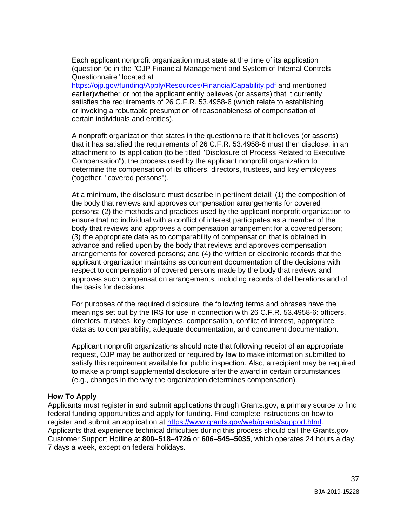Each applicant nonprofit organization must state at the time of its application (question 9c in the "OJP Financial Management and System of Internal Controls Questionnaire" located at

[https://ojp.gov/funding/Apply/Resources/FinancialCapability.pdf a](https://ojp.gov/funding/Apply/Resources/FinancialCapability.pdf)nd mentioned earlier)whether or not the applicant entity believes (or asserts) that it currently satisfies the requirements of 26 C.F.R. 53.4958-6 (which relate to establishing or invoking a rebuttable presumption of reasonableness of compensation of certain individuals and entities).

 A nonprofit organization that states in the questionnaire that it believes (or asserts) attachment to its application (to be titled "Disclosure of Process Related to Executive (together, "covered persons"). that it has satisfied the requirements of 26 C.F.R. 53.4958-6 must then disclose, in an Compensation"), the process used by the applicant nonprofit organization to determine the compensation of its officers, directors, trustees, and key employees

 ensure that no individual with a conflict of interest participates as a member of the body that reviews and approves a compensation arrangement for a covered person; arrangements for covered persons; and (4) the written or electronic records that the respect to compensation of covered persons made by the body that reviews and the basis for decisions. At a minimum, the disclosure must describe in pertinent detail: (1) the composition of the body that reviews and approves compensation arrangements for covered persons; (2) the methods and practices used by the applicant nonprofit organization to (3) the appropriate data as to comparability of compensation that is obtained in advance and relied upon by the body that reviews and approves compensation applicant organization maintains as concurrent documentation of the decisions with approves such compensation arrangements, including records of deliberations and of

 meanings set out by the IRS for use in connection with 26 C.F.R. 53.4958-6: officers, For purposes of the required disclosure, the following terms and phrases have the directors, trustees, key employees, compensation, conflict of interest, appropriate data as to comparability, adequate documentation, and concurrent documentation.

Applicant nonprofit organizations should note that following receipt of an appropriate request, OJP may be authorized or required by law to make information submitted to satisfy this requirement available for public inspection. Also, a recipient may be required to make a prompt supplemental disclosure after the award in certain circumstances (e.g., changes in the way the organization determines compensation).

#### <span id="page-37-0"></span>**How To Apply**

 Applicants must register in and submit applications through [Grants.gov](https://Grants.gov), a primary source to find federal funding opportunities and apply for funding. Find complete instructions on how to register and submit an application at [https://www.grants.gov/web/grants/support.html.](https://www.grants.gov/web/grants/support.html) Applicants that experience technical difficulties during this process should call the [Grants.gov](https://Grants.gov) Customer Support Hotline at **800–518–4726** or **606–545–5035**, which operates 24 hours a day, 7 days a week, except on federal holidays.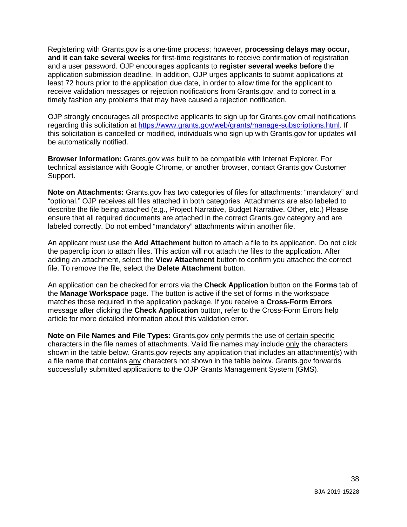receive validation messages or rejection notifications from [Grants.gov,](https://Grants.gov) and to correct in a timely fashion any problems that may have caused a rejection notification. Registering with [Grants.gov](https://Grants.gov) is a one-time process; however, **processing delays may occur, and it can take several weeks** for first-time registrants to receive confirmation of registration and a user password. OJP encourages applicants to **register several weeks before** the application submission deadline. In addition, OJP urges applicants to submit applications at least 72 hours prior to the application due date, in order to allow time for the applicant to

OJP strongly encourages all prospective applicants to sign up for Grants.gov email notifications regarding this solicitation at [https://www.grants.gov/web/grants/manage-subscriptions.html.](https://www.grants.gov/web/grants/manage-subscriptions.html) If this solicitation is cancelled or modified, individuals who sign up with [Grants.gov](https://Grants.gov) for updates will be automatically notified.

**Browser Information:** [Grants.gov](https://Grants.gov) was built to be compatible with Internet Explorer. For technical assistance with Google Chrome, or another browser, contact [Grants.gov](https://Grants.gov) Customer Support.

 **Note on Attachments:** [Grants.gov](https://Grants.gov) has two categories of files for attachments: "mandatory" and "optional." OJP receives all files attached in both categories. Attachments are also labeled to ensure that all required documents are attached in the correct [Grants.gov](https://Grants.gov) category and are describe the file being attached (e.g., Project Narrative, Budget Narrative, Other, etc.) Please labeled correctly. Do not embed "mandatory" attachments within another file.

 the paperclip icon to attach files. This action will not attach the files to the application. After An applicant must use the **Add Attachment** button to attach a file to its application. Do not click adding an attachment, select the **View Attachment** button to confirm you attached the correct file. To remove the file, select the **Delete Attachment** button.

 the **Manage Workspace** page. The button is active if the set of forms in the workspace An application can be checked for errors via the **Check Application** button on the **Forms** tab of matches those required in the application package. If you receive a **Cross-Form Errors**  message after clicking the **Check Application** button, refer to the Cross-Form Errors help article for more detailed information about this validation error.

**Note on File Names and File Types:** [Grants.gov](https://Grants.gov) **only permits the use of certain specific** a file name that contains **any characters not shown in the table below**. [Grants.gov](https://Grants.gov) forwards characters in the file names of attachments. Valid file names may include only the characters shown in the table below. [Grants.gov](https://Grants.gov) rejects any application that includes an attachment(s) with successfully submitted applications to the OJP Grants Management System (GMS).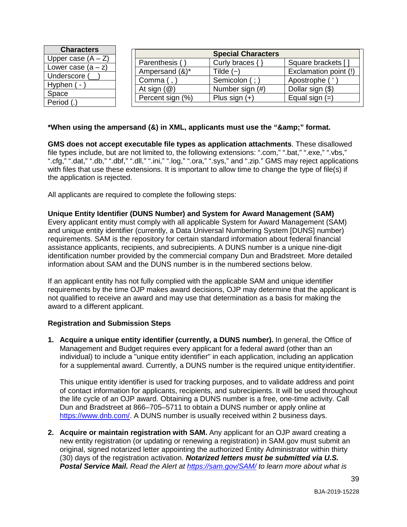| <b>Characters</b>                    |                         | <b>Special Characters</b> |                       |
|--------------------------------------|-------------------------|---------------------------|-----------------------|
| Upper case $(A - Z)$                 | Parenthesis (           | Curly braces {            | Square brackets [     |
| Lower case $(a - z)$<br>Underscore ( | Ampersand (&)*          | Tilde $(-)$               | Exclamation point (!) |
| Hyphen (-                            | Comma (                 | Semicolon (;              | Apostrophe ('         |
| Space                                | At sign $(\mathcal{Q})$ | Number sign (#)           | Dollar sign (\$)      |
| Period (.)                           | Percent sign (%)        | Plus sign $(+)$           | Equal sign $(=)$      |

#### \*When using the ampersand (&) in XML, applicants must use the "&" format.

 ".cfg," ".dat," ".db," ".dbf," ".dll," ".ini," ".log," ".ora," ".sys," and ".zip." GMS may reject applications with files that use these extensions. It is important to allow time to change the type of file(s) if the application is rejected. **GMS does not accept executable file types as application attachments**. These disallowed file types include, but are not limited to, the following extensions: ".com," ".bat," ".exe," ".vbs,"

All applicants are required to complete the following steps:

#### **Unique Entity Identifier (DUNS Number) and System for Award Management (SAM)**

 Every applicant entity must comply with all applicable System for Award Management (SAM) requirements. SAM is the repository for certain standard information about federal financial and unique entity identifier (currently, a Data Universal Numbering System [DUNS] number) assistance applicants, recipients, and subrecipients. A DUNS number is a unique nine-digit identification number provided by the commercial company Dun and Bradstreet. More detailed information about SAM and the DUNS number is in the numbered sections below.

 If an applicant entity has not fully complied with the applicable SAM and unique identifier requirements by the time OJP makes award decisions, OJP may determine that the applicant is not qualified to receive an award and may use that determination as a basis for making the award to a different applicant.

#### **Registration and Submission Steps**

 Management and Budget requires every applicant for a federal award (other than an for a supplemental award. Currently, a DUNS number is the required unique entityidentifier. **1. Acquire a unique entity identifier (currently, a DUNS number).** In general, the Office of individual) to include a "unique entity identifier" in each application, including an application

This unique entity identifier is used for tracking purposes, and to validate address and point of contact information for applicants, recipients, and subrecipients. It will be used throughout the life cycle of an OJP award. Obtaining a DUNS number is a free, one-time activity. Call Dun and Bradstreet at 866–705–5711 to obtain a DUNS number or apply online at [https://www.dnb.com/.](https://www.dnb.com/) A DUNS number is usually received within 2 business days.

 **2. Acquire or maintain registration with SAM.** Any applicant for an OJP award creating a new entity registration (or updating or renewing a registration) in SAM.gov must submit an original, signed notarized letter appointing the authorized Entity Administrator within thirty (30) days of the registration activation. *Notarized letters must be submitted via U.S. Postal Service Mail. Read the Alert at<https://sam.gov/SAM/>to learn more about what is*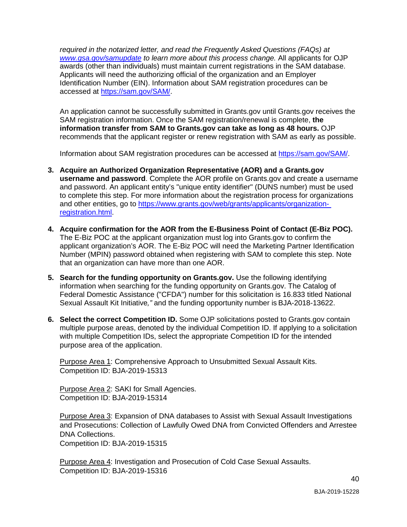*[www.gsa.gov/samupdate](https://www.gsa.gov/samupdate) to learn more about this process change.* All applicants for OJP Identification Number (EIN). Information about SAM registration procedures can be *required in the notarized letter, and read the Frequently Asked Questions (FAQs) at*  awards (other than individuals) must maintain current registrations in the SAM database. Applicants will need the authorizing official of the organization and an Employer accessed at [https://sam.gov/SAM/.](https://sam.gov/SAM/)

An application cannot be successfully submitted in [Grants.gov](https://Grants.gov) until [Grants.gov](https://Grants.gov) receives the SAM registration information. Once the SAM registration/renewal is complete, **the information transfer from SAM to [Grants.gov](https://Grants.gov) can take as long as 48 hours.** OJP recommends that the applicant register or renew registration with SAM as early as possible.

Information about SAM registration procedures can be accessed at <https://sam.gov/SAM>/.

- to complete this step. For more information about the registration process for organizations **3. Acquire an Authorized Organization Representative (AOR) and a [Grants.gov](https://Grants.gov) username and password**. Complete the AOR profile on [Grants.gov](https://Grants.gov) and create a username and password. An applicant entity's "unique entity identifier" (DUNS number) must be used and other entities, go to [https://www.grants.gov/web/grants/applicants/organization](https://www.grants.gov/web/grants/applicants/organization-registration.html)[registration.html.](https://www.grants.gov/web/grants/applicants/organization-registration.html)
- that an organization can have more than one AOR. **4. Acquire confirmation for the AOR from the E-Business Point of Contact (E-Biz POC).**  The E-Biz POC at the applicant organization must log into [Grants.gov](https://Grants.gov) to confirm the applicant organization's AOR. The E-Biz POC will need the Marketing Partner Identification Number (MPIN) password obtained when registering with SAM to complete this step. Note
- Federal Domestic Assistance ("CFDA") number for this solicitation is 16.833 titled National **5. Search for the funding opportunity on [Grants.gov](https://Grants.gov).** Use the following identifying information when searching for the funding opportunity on [Grants.gov.](https://Grants.gov) The Catalog of Sexual Assault Kit Initiative*,"* and the funding opportunity number is BJA-2018-13622.
- with multiple Competition IDs, select the appropriate Competition ID for the intended **6. Select the correct Competition ID.** Some OJP solicitations posted to [Grants.gov](https://Grants.gov) contain multiple purpose areas, denoted by the individual Competition ID. If applying to a solicitation purpose area of the application.

Purpose Area 1: Comprehensive Approach to Unsubmitted Sexual Assault Kits. Competition ID: BJA-2019-15313

Purpose Area 2: SAKI for Small Agencies. Competition ID: BJA-2019-15314

Purpose Area 3: Expansion of DNA databases to Assist with Sexual Assault Investigations and Prosecutions: Collection of Lawfully Owed DNA from Convicted Offenders and Arrestee DNA Collections.

Competition ID: BJA-2019-15315

Purpose Area 4: Investigation and Prosecution of Cold Case Sexual Assaults. Competition ID: BJA-2019-15316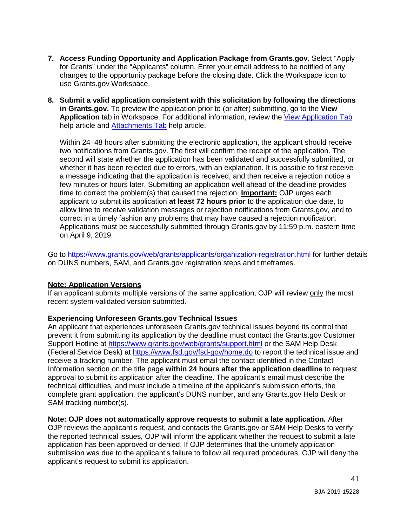- for Grants" under the "Applicants" column. Enter your email address to be notified of any **7. Access Funding Opportunity and Application Package from [Grants.gov](https://Grants.gov)**. Select "Apply changes to the opportunity package before the closing date. Click the Workspace icon to use [Grants.gov](https://Grants.gov) Workspace.
- **in [Grants.gov.](https://Grants.gov)** To preview the application prior to (or after) submitting, go to the **View 8. Submit a valid application consistent with this solicitation by following the directions Application** tab in Workspace. For additional information, review the [View Application Tab](https://www.grants.gov/help/html/help/ManageWorkspaces/ViewApplicationTab.htm)  help article and [Attachments Tab](https://www.grants.gov/help/html/help/ManageWorkspaces/AttachmentsTab.htm) help article.

 two notifications from [Grants.gov](https://Grants.gov). The first will confirm the receipt of the application. The a message indicating that the application is received, and then receive a rejection notice a few minutes or hours later. Submitting an application well ahead of the deadline provides allow time to receive validation messages or rejection notifications from [Grants.gov,](https://Grants.gov) and to on April 9, 2019. Within 24–48 hours after submitting the electronic application, the applicant should receive second will state whether the application has been validated and successfully submitted, or whether it has been rejected due to errors, with an explanation. It is possible to first receive time to correct the problem(s) that caused the rejection. **Important:** OJP urges each applicant to submit its application **at least 72 hours prior** to the application due date, to correct in a timely fashion any problems that may have caused a rejection notification. Applications must be successfully submitted through [Grants.gov](https://Grants.gov) by 11:59 p.m. eastern time

Go to [https://www.grants.gov/web/grants/applicants/organization-registration.html f](https://www.grants.gov/web/grants/applicants/organization-registration.html)or further details on DUNS numbers, SAM, and [Grants.gov](https://Grants.gov) registration steps and timeframes.

#### **Note: Application Versions**

If an applicant submits multiple versions of the same application, OJP will review only the most recent system-validated version submitted.

#### **Experiencing Unforeseen [Grants.gov](https://Grants.gov) Technical Issues**

 An applicant that experiences unforeseen [Grants.gov](https://Grants.gov) technical issues beyond its control that Support Hotline at [https://www.grants.gov/web/grants/support.html o](https://www.grants.gov/web/grants/support.html)r the SAM Help Desk prevent it from submitting its application by the deadline must contact the [Grants.gov](https://Grants.gov) Customer (Federal Service Desk) at [https://www.fsd.gov/fsd-gov/home.do t](https://www.fsd.gov/fsd-gov/home.do)o report the technical issue and receive a tracking number. The applicant must email the contact identified in the Contact Information section on the title page **within 24 hours after the application deadline** to request approval to submit its application after the deadline. The applicant's email must describe the technical difficulties, and must include a timeline of the applicant's submission efforts, the complete grant application, the applicant's DUNS number, and any [Grants.gov](https://Grants.gov) Help Desk or SAM tracking number(s).

 OJP reviews the applicant's request, and contacts the [Grants.gov](https://Grants.gov) or SAM Help Desks to verify submission was due to the applicant's failure to follow all required procedures, OJP will deny the **Note: OJP does not automatically approve requests to submit a late application***.* After the reported technical issues, OJP will inform the applicant whether the request to submit a late application has been approved or denied. If OJP determines that the untimely application applicant's request to submit its application.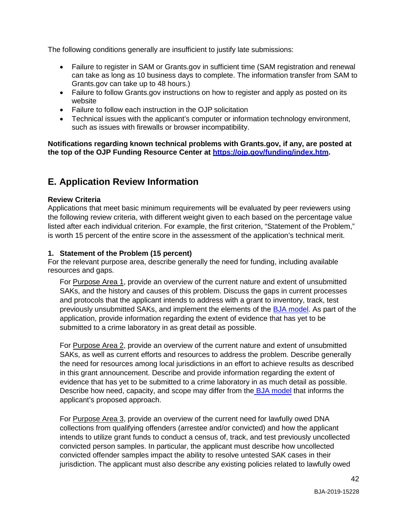The following conditions generally are insufficient to justify late submissions:

- can take as long as 10 business days to complete. The information transfer from SAM to [Grants.gov](https://Grants.gov) can take up to 48 hours.) • Failure to register in SAM or [Grants.gov](https://Grants.gov) in sufficient time (SAM registration and renewal
- Failure to follow [Grants.gov](https://Grants.gov) instructions on how to register and apply as posted on its website
- Failure to follow each instruction in the OJP solicitation
- Technical issues with the applicant's computer or information technology environment, such as issues with firewalls or browser incompatibility.

 **the top of the OJP Funding Resource Center at [https://ojp.gov/funding/index.htm.](https://ojp.gov/funding/index.htm) Notifications regarding known technical problems with Grants.gov, if any, are posted at** 

# <span id="page-42-0"></span>**E. Application Review Information**

#### <span id="page-42-1"></span>**Review Criteria**

 listed after each individual criterion. For example, the first criterion, "Statement of the Problem," Applications that meet basic minimum requirements will be evaluated by peer reviewers using the following review criteria, with different weight given to each based on the percentage value is worth 15 percent of the entire score in the assessment of the application's technical merit.

### **1. Statement of the Problem (15 percent)**

For the relevant purpose area, describe generally the need for funding, including available resources and gaps.

 application, provide information regarding the extent of evidence that has yet to be submitted to a crime laboratory in as great detail as possible. For Purpose Area 1, provide an overview of the current nature and extent of unsubmitted SAKs, and the history and causes of this problem. Discuss the gaps in current processes and protocols that the applicant intends to address with a grant to inventory, track, test previously unsubmitted SAKs, and implement the elements of the [BJA model.](#page-7-0) As part of the

 SAKs, as well as current efforts and resources to address the problem. Describe generally the need for resources among local jurisdictions in an effort to achieve results as described Describe how need, capacity, and scope may differ from th[e BJA model t](#page-7-0)hat informs the For Purpose Area 2, provide an overview of the current nature and extent of unsubmitted in this grant announcement. Describe and provide information regarding the extent of evidence that has yet to be submitted to a crime laboratory in as much detail as possible. applicant's proposed approach.

 collections from qualifying offenders (arrestee and/or convicted) and how the applicant For Purpose Area 3, provide an overview of the current need for lawfully owed DNA intends to utilize grant funds to conduct a census of, track, and test previously uncollected convicted person samples. In particular, the applicant must describe how uncollected convicted offender samples impact the ability to resolve untested SAK cases in their jurisdiction. The applicant must also describe any existing policies related to lawfully owed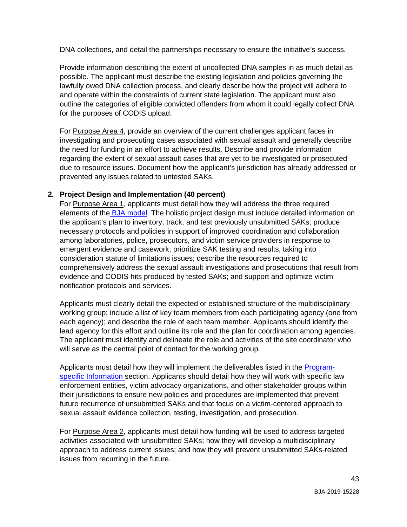DNA collections, and detail the partnerships necessary to ensure the initiative's success.

Provide information describing the extent of uncollected DNA samples in as much detail as possible. The applicant must describe the existing legislation and policies governing the lawfully owed DNA collection process, and clearly describe how the project will adhere to and operate within the constraints of current state legislation. The applicant must also outline the categories of eligible convicted offenders from whom it could legally collect DNA for the purposes of CODIS upload.

For **Purpose Area 4**, provide an overview of the current challenges applicant faces in the need for funding in an effort to achieve results. Describe and provide information regarding the extent of sexual assault cases that are yet to be investigated or prosecuted investigating and prosecuting cases associated with sexual assault and generally describe due to resource issues. Document how the applicant's jurisdiction has already addressed or prevented any issues related to untested SAKs.

### **2. Project Design and Implementation (40 percent)**

 necessary protocols and policies in support of improved coordination and collaboration comprehensively address the sexual assault investigations and prosecutions that result from For Purpose Area 1, applicants must detail how they will address the three required elements of th[e BJA model. T](#page-7-0)he holistic project design must include detailed information on the applicant's plan to inventory, track, and test previously unsubmitted SAKs; produce among laboratories, police, prosecutors, and victim service providers in response to emergent evidence and casework; prioritize SAK testing and results, taking into consideration statute of limitations issues; describe the resources required to evidence and CODIS hits produced by tested SAKs; and support and optimize victim notification protocols and services.

 working group; include a list of key team members from each participating agency (one from Applicants must clearly detail the expected or established structure of the multidisciplinary each agency); and describe the role of each team member. Applicants should identify the lead agency for this effort and outline its role and the plan for coordination among agencies. The applicant must identify and delineate the role and activities of the site coordinator who will serve as the central point of contact for the working group.

Applicants must detail how they will implement the deliverables listed in the [Program](#page-5-2)specific Information section. Applicants should detail how they will work with specific law enforcement entities, victim advocacy organizations, and other stakeholder groups within their jurisdictions to ensure new policies and procedures are implemented that prevent future recurrence of unsubmitted SAKs and that focus on a victim-centered approach to sexual assault evidence collection, testing, investigation, and prosecution.

For **Purpose Area 2**, applicants must detail how funding will be used to address targeted activities associated with unsubmitted SAKs; how they will develop a multidisciplinary approach to address current issues; and how they will prevent unsubmitted SAKs-related issues from recurring in the future.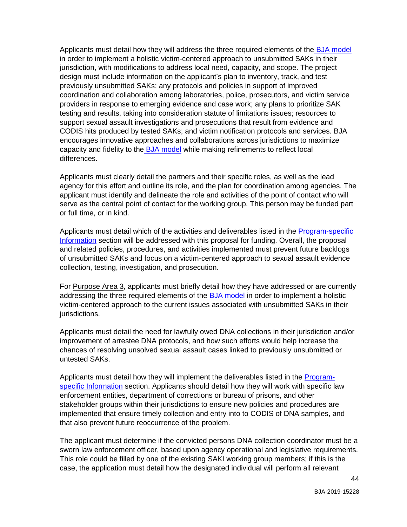Applicants must detail how they will address the three required elements of the **BJA model**  in order to implement a holistic victim-centered approach to unsubmitted SAKs in their jurisdiction, with modifications to address local need, capacity, and scope. The project design must include information on the applicant's plan to inventory, track, and test capacity and fidelity to the **BJA model** while making refinements to reflect local previously unsubmitted SAKs; any protocols and policies in support of improved coordination and collaboration among laboratories, police, prosecutors, and victim service providers in response to emerging evidence and case work; any plans to prioritize SAK testing and results, taking into consideration statute of limitations issues; resources to support sexual assault investigations and prosecutions that result from evidence and CODIS hits produced by tested SAKs; and victim notification protocols and services. BJA encourages innovative approaches and collaborations across jurisdictions to maximize differences.

 agency for this effort and outline its role, and the plan for coordination among agencies. The serve as the central point of contact for the working group. This person may be funded part Applicants must clearly detail the partners and their specific roles, as well as the lead applicant must identify and delineate the role and activities of the point of contact who will or full time, or in kind.

Information section will be addressed with this proposal for funding. Overall, the proposal Applicants must detail which of the activities and deliverables listed in the [Program-specific](#page-5-2)  and related policies, procedures, and activities implemented must prevent future backlogs of unsubmitted SAKs and focus on a victim-centered approach to sexual assault evidence collection, testing, investigation, and prosecution.

addressing the three required elements of th[e BJA model in](#page-7-0) order to implement a holistic For Purpose Area 3, applicants must briefly detail how they have addressed or are currently victim-centered approach to the current issues associated with unsubmitted SAKs in their jurisdictions.

 improvement of arrestee DNA protocols, and how such efforts would help increase the Applicants must detail the need for lawfully owed DNA collections in their jurisdiction and/or chances of resolving unsolved sexual assault cases linked to previously unsubmitted or untested SAKs.

 enforcement entities, department of corrections or bureau of prisons, and other Applicants must detail how they will implement the deliverables listed in the [Program](#page-5-2)specific Information section. Applicants should detail how they will work with specific law stakeholder groups within their jurisdictions to ensure new policies and procedures are implemented that ensure timely collection and entry into to CODIS of DNA samples, and that also prevent future reoccurrence of the problem.

 This role could be filled by one of the existing SAKI working group members; if this is the The applicant must determine if the convicted persons DNA collection coordinator must be a sworn law enforcement officer, based upon agency operational and legislative requirements. case, the application must detail how the designated individual will perform all relevant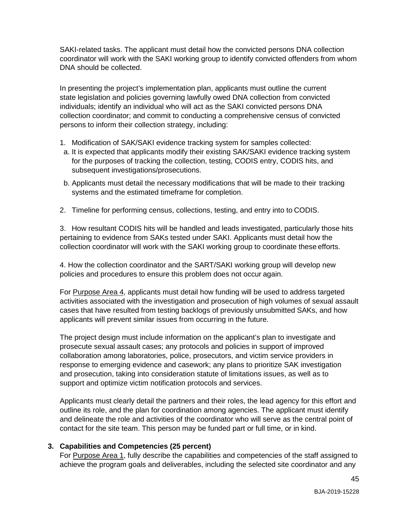coordinator will work with the SAKI working group to identify convicted offenders from whom SAKI-related tasks. The applicant must detail how the convicted persons DNA collection DNA should be collected.

In presenting the project's implementation plan, applicants must outline the current state legislation and policies governing lawfully owed DNA collection from convicted individuals; identify an individual who will act as the SAKI convicted persons DNA collection coordinator; and commit to conducting a comprehensive census of convicted persons to inform their collection strategy, including:

- 1. Modification of SAK/SAKI evidence tracking system for samples collected:
- a. It is expected that applicants modify their existing SAK/SAKI evidence tracking system for the purposes of tracking the collection, testing, CODIS entry, CODIS hits, and subsequent investigations/prosecutions.
- b. Applicants must detail the necessary modifications that will be made to their tracking systems and the estimated timeframe for completion.
- 2. Timeline for performing census, collections, testing, and entry into to CODIS.

 collection coordinator will work with the SAKI working group to coordinate these efforts. 3. How resultant CODIS hits will be handled and leads investigated, particularly those hits pertaining to evidence from SAKs tested under SAKI. Applicants must detail how the

 policies and procedures to ensure this problem does not occur again. 4. How the collection coordinator and the SART/SAKI working group will develop new

For **Purpose Area 4**, applicants must detail how funding will be used to address targeted cases that have resulted from testing backlogs of previously unsubmitted SAKs, and how activities associated with the investigation and prosecution of high volumes of sexual assault applicants will prevent similar issues from occurring in the future.

The project design must include information on the applicant's plan to investigate and prosecute sexual assault cases; any protocols and policies in support of improved collaboration among laboratories, police, prosecutors, and victim service providers in response to emerging evidence and casework; any plans to prioritize SAK investigation and prosecution, taking into consideration statute of limitations issues, as well as to support and optimize victim notification protocols and services.

 outline its role, and the plan for coordination among agencies. The applicant must identify contact for the site team. This person may be funded part or full time, or in kind. Applicants must clearly detail the partners and their roles, the lead agency for this effort and and delineate the role and activities of the coordinator who will serve as the central point of

#### **3. Capabilities and Competencies (25 percent)**

For **Purpose Area 1**, fully describe the capabilities and competencies of the staff assigned to achieve the program goals and deliverables, including the selected site coordinator and any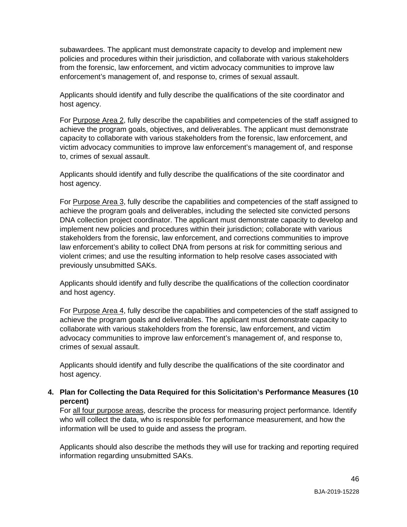policies and procedures within their jurisdiction, and collaborate with various stakeholders subawardees. The applicant must demonstrate capacity to develop and implement new from the forensic, law enforcement, and victim advocacy communities to improve law enforcement's management of, and response to, crimes of sexual assault.

Applicants should identify and fully describe the qualifications of the site coordinator and host agency.

 capacity to collaborate with various stakeholders from the forensic, law enforcement, and For Purpose Area 2, fully describe the capabilities and competencies of the staff assigned to achieve the program goals, objectives, and deliverables. The applicant must demonstrate victim advocacy communities to improve law enforcement's management of, and response to, crimes of sexual assault.

Applicants should identify and fully describe the qualifications of the site coordinator and host agency.

For **Purpose Area 3**, fully describe the capabilities and competencies of the staff assigned to stakeholders from the forensic, law enforcement, and corrections communities to improve achieve the program goals and deliverables, including the selected site convicted persons DNA collection project coordinator. The applicant must demonstrate capacity to develop and implement new policies and procedures within their jurisdiction; collaborate with various law enforcement's ability to collect DNA from persons at risk for committing serious and violent crimes; and use the resulting information to help resolve cases associated with previously unsubmitted SAKs.

Applicants should identify and fully describe the qualifications of the collection coordinator and host agency.

For **Purpose Area 4**, fully describe the capabilities and competencies of the staff assigned to collaborate with various stakeholders from the forensic, law enforcement, and victim achieve the program goals and deliverables. The applicant must demonstrate capacity to advocacy communities to improve law enforcement's management of, and response to, crimes of sexual assault.

Applicants should identify and fully describe the qualifications of the site coordinator and host agency.

### **4. Plan for Collecting the Data Required for this Solicitation's Performance Measures (10 percent)**

For all four purpose areas, describe the process for measuring project performance. Identify who will collect the data, who is responsible for performance measurement, and how the information will be used to guide and assess the program.

 Applicants should also describe the methods they will use for tracking and reporting required information regarding unsubmitted SAKs.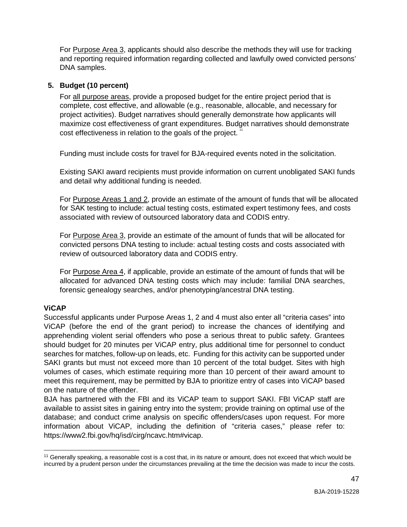For **Purpose Area 3**, applicants should also describe the methods they will use for tracking and reporting required information regarding collected and lawfully owed convicted persons' DNA samples.

### **5. Budget (10 percent)**

For all purpose areas, provide a proposed budget for the entire project period that is cost effectiveness in relation to the goals of the project.  $^{\prime\prime}$ complete, cost effective, and allowable (e.g., reasonable, allocable, and necessary for project activities). Budget narratives should generally demonstrate how applicants will maximize cost effectiveness of grant expenditures. Budget narratives should demonstrate

Funding must include costs for travel for BJA-required events noted in the solicitation.

 Existing SAKI award recipients must provide information on current unobligated SAKI funds and detail why additional funding is needed.

For **Purpose Areas 1 and 2**, provide an estimate of the amount of funds that will be allocated for SAK testing to include: actual testing costs, estimated expert testimony fees, and costs associated with review of outsourced laboratory data and CODIS entry.

For **Purpose Area 3**, provide an estimate of the amount of funds that will be allocated for convicted persons DNA testing to include: actual testing costs and costs associated with review of outsourced laboratory data and CODIS entry.

For Purpose Area 4, if applicable, provide an estimate of the amount of funds that will be allocated for advanced DNA testing costs which may include: familial DNA searches, forensic genealogy searches, and/or phenotyping/ancestral DNA testing.

## **ViCAP**

 ViCAP (before the end of the grant period) to increase the chances of identifying and should budget for 20 minutes per ViCAP entry, plus additional time for personnel to conduct searches for matches, follow-up on leads, etc. Funding for this activity can be supported under SAKI grants but must not exceed more than 10 percent of the total budget. Sites with high volumes of cases, which estimate requiring more than 10 percent of their award amount to Successful applicants under Purpose Areas 1, 2 and 4 must also enter all "criteria cases" into apprehending violent serial offenders who pose a serious threat to public safety. Grantees meet this requirement, may be permitted by BJA to prioritize entry of cases into ViCAP based on the nature of the offender.

 information about ViCAP, including the definition of "criteria cases," please refer to: BJA has partnered with the FBI and its ViCAP team to support SAKI. FBI ViCAP staff are available to assist sites in gaining entry into the system; provide training on optimal use of the database; and conduct crime analysis on specific offenders/cases upon request. For more [https://www2.fbi.gov/hq/isd/cirg/ncavc.htm#vicap.](https://www2.fbi.gov/hq/isd/cirg/ncavc.htm#vicap)

<span id="page-47-0"></span> $\overline{a}$ <sup>11</sup> Generally speaking, a reasonable cost is a cost that, in its nature or amount, does not exceed that which would be incurred by a prudent person under the circumstances prevailing at the time the decision was made to incur the costs.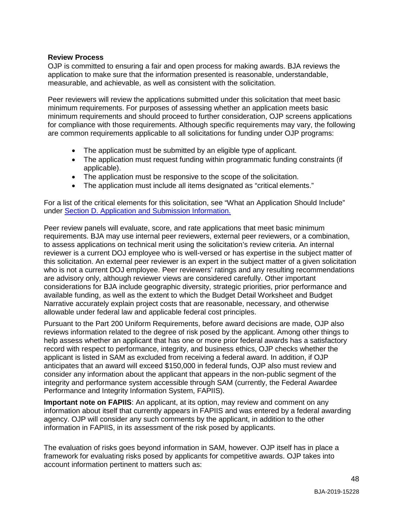#### <span id="page-48-0"></span>**Review Process**

OJP is committed to ensuring a fair and open process for making awards. BJA reviews the application to make sure that the information presented is reasonable, understandable, measurable, and achievable, as well as consistent with the solicitation.

 Peer reviewers will review the applications submitted under this solicitation that meet basic are common requirements applicable to all solicitations for funding under OJP programs: minimum requirements. For purposes of assessing whether an application meets basic minimum requirements and should proceed to further consideration, OJP screens applications for compliance with those requirements. Although specific requirements may vary, the following

- The application must be submitted by an eligible type of applicant.
- The application must request funding within programmatic funding constraints (if applicable).
- The application must be responsive to the scope of the solicitation.
- The application must include all items designated as "critical elements."

 For a list of the critical elements for this solicitation, see "What an Application Should Include" under [Section D. Application and Submission Information.](#page-24-0) 

 requirements. BJA may use internal peer reviewers, external peer reviewers, or a combination, to assess applications on technical merit using the solicitation's review criteria. An internal this solicitation. An external peer reviewer is an expert in the subject matter of a given solicitation available funding, as well as the extent to which the Budget Detail Worksheet and Budget Peer review panels will evaluate, score, and rate applications that meet basic minimum reviewer is a current DOJ employee who is well-versed or has expertise in the subject matter of who is not a current DOJ employee. Peer reviewers' ratings and any resulting recommendations are advisory only, although reviewer views are considered carefully. Other important considerations for BJA include geographic diversity, strategic priorities, prior performance and Narrative accurately explain project costs that are reasonable, necessary, and otherwise allowable under federal law and applicable federal cost principles.

 record with respect to performance, integrity, and business ethics, OJP checks whether the anticipates that an award will exceed \$150,000 in federal funds, OJP also must review and consider any information about the applicant that appears in the non-public segment of the Pursuant to the Part 200 Uniform Requirements, before award decisions are made, OJP also reviews information related to the degree of risk posed by the applicant. Among other things to help assess whether an applicant that has one or more prior federal awards has a satisfactory applicant is listed in SAM as excluded from receiving a federal award. In addition, if OJP integrity and performance system accessible through SAM (currently, the Federal Awardee Performance and Integrity Information System, FAPIIS).

 information about itself that currently appears in FAPIIS and was entered by a federal awarding **Important note on FAPIIS**: An applicant, at its option, may review and comment on any agency. OJP will consider any such comments by the applicant, in addition to the other information in FAPIIS, in its assessment of the risk posed by applicants.

 The evaluation of risks goes beyond information in SAM, however. OJP itself has in place a framework for evaluating risks posed by applicants for competitive awards. OJP takes into account information pertinent to matters such as: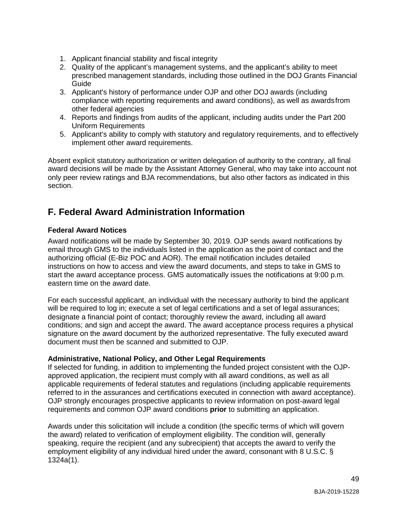- 1. Applicant financial stability and fiscal integrity
- 2. Quality of the applicant's management systems, and the applicant's ability to meet prescribed management standards, including those outlined in the DOJ Grants Financial Guide
- 3. Applicant's history of performance under OJP and other DOJ awards (including other federal agencies compliance with reporting requirements and award conditions), as well as awardsfrom
- 4. Reports and findings from audits of the applicant, including audits under the Part 200 Uniform Requirements
- 5. Applicant's ability to comply with statutory and regulatory requirements, and to effectively implement other award requirements.

 Absent explicit statutory authorization or written delegation of authority to the contrary, all final award decisions will be made by the Assistant Attorney General, who may take into account not only peer review ratings and BJA recommendations, but also other factors as indicated in this section.

# <span id="page-49-0"></span>**F. Federal Award Administration Information**

### <span id="page-49-1"></span>**Federal Award Notices**

 Award notifications will be made by September 30, 2019. OJP sends award notifications by email through GMS to the individuals listed in the application as the point of contact and the authorizing official (E-Biz POC and AOR). The email notification includes detailed instructions on how to access and view the award documents, and steps to take in GMS to start the award acceptance process. GMS automatically issues the notifications at 9:00 p.m. eastern time on the award date.

 conditions; and sign and accept the award. The award acceptance process requires a physical For each successful applicant, an individual with the necessary authority to bind the applicant will be required to log in; execute a set of legal certifications and a set of legal assurances; designate a financial point of contact; thoroughly review the award, including all award signature on the award document by the authorized representative. The fully executed award document must then be scanned and submitted to OJP.

#### <span id="page-49-2"></span>**Administrative, National Policy, and Other Legal Requirements**

 If selected for funding, in addition to implementing the funded project consistent with the OJP- approved application, the recipient must comply with all award conditions, as well as all applicable requirements of federal statutes and regulations (including applicable requirements referred to in the assurances and certifications executed in connection with award acceptance). OJP strongly encourages prospective applicants to review information on post-award legal requirements and common OJP award conditions **prior** to submitting an application.

 the award) related to verification of employment eligibility. The condition will, generally employment eligibility of any individual hired under the award, consonant with 8 U.S.C. § Awards under this solicitation will include a condition (the specific terms of which will govern speaking, require the recipient (and any subrecipient) that accepts the award to verify the 1324a(1).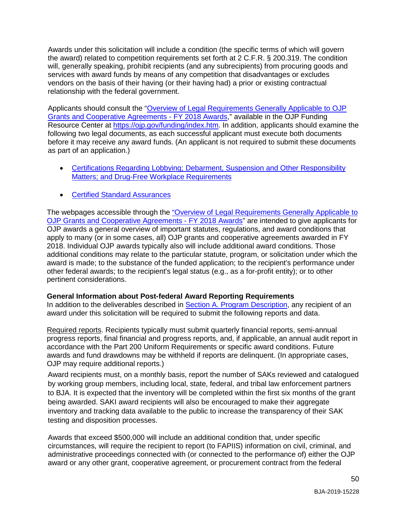Awards under this solicitation will include a condition (the specific terms of which will govern the award) related to competition requirements set forth at 2 C.F.R. § 200.319. The condition will, generally speaking, prohibit recipients (and any subrecipients) from procuring goods and services with award funds by means of any competition that disadvantages or excludes vendors on the basis of their having (or their having had) a prior or existing contractual relationship with the federal government.

 before it may receive any award funds. (An applicant is not required to submit these documents Applicants should consult the ["Overview of Legal Requirements Generally Applicable to OJP](https://ojp.gov/funding/Explore/LegalOverview/index.htm)  [Grants and Cooperative Agreements -](http://ojp.gov/funding/Explore/SolicitationRequirements/index.htm) FY 2018 Awards," available in the OJP Funding Resource Center at [https://ojp.gov/funding/index.htm.](https://ojp.gov/funding/index.htm) In addition, applicants should examine the following two legal documents, as each successful applicant must execute both documents as part of an application.)

- Certifications Regarding Lobbying; Debarment, Suspension and Other Responsibility [Matters; and Drug-Free Workplace Requirements](http://ojp.gov/funding/Apply/Resources/Certifications.pdf)
- [Certified Standard Assurances](http://ojp.gov/funding/Apply/Resources/StandardAssurances.pdf)

The webpages accessible through the <u>"Overview of Legal Requirements Generally Applicable to</u> [OJP Grants and Cooperative Agreements -](https://ojp.gov/funding/Explore/LegalOverview/index.htm) FY 2018 Awards" are intended to give applicants for apply to many (or in some cases, all) OJP grants and cooperative agreements awarded in FY 2018. Individual OJP awards typically also will include additional award conditions. Those award is made; to the substance of the funded application; to the recipient's performance under other federal awards; to the recipient's legal status (e.g., as a for-profit entity); or to other OJP awards a general overview of important statutes, regulations, and award conditions that additional conditions may relate to the particular statute, program, or solicitation under which the pertinent considerations.

#### <span id="page-50-0"></span>**General Information about Post-federal Award Reporting Requirements**

In addition to the deliverables described in [Section A. Program Description, a](#page-5-5)ny recipient of an award under this solicitation will be required to submit the following reports and data.

 progress reports, final financial and progress reports, and, if applicable, an annual audit report in OJP may require additional reports.) Required reports. Recipients typically must submit quarterly financial reports, semi-annual accordance with the Part 200 Uniform Requirements or specific award conditions. Future awards and fund drawdowns may be withheld if reports are delinquent. (In appropriate cases,

 to BJA. It is expected that the inventory will be completed within the first six months of the grant inventory and tracking data available to the public to increase the transparency of their SAK Award recipients must, on a monthly basis, report the number of SAKs reviewed and catalogued by working group members, including local, state, federal, and tribal law enforcement partners being awarded. SAKI award recipients will also be encouraged to make their aggregate testing and disposition processes.

 circumstances, will require the recipient to report (to FAPIIS) information on civil, criminal, and administrative proceedings connected with (or connected to the performance of) either the OJP award or any other grant, cooperative agreement, or procurement contract from the federal Awards that exceed \$500,000 will include an additional condition that, under specific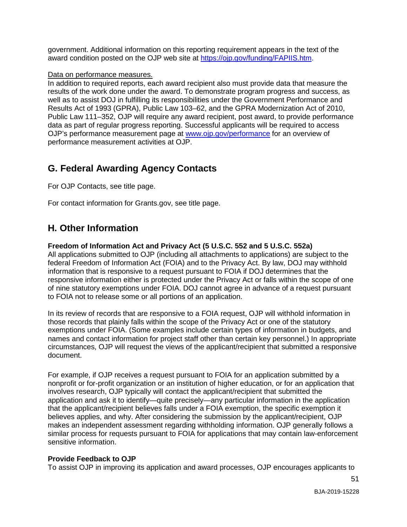government. Additional information on this reporting requirement appears in the text of the award condition posted on the OJP web site at [https://ojp.gov/funding/FAPIIS.htm.](https://ojp.gov/funding/FAPIIS.htm)

#### Data on performance measures.

 results of the work done under the award. To demonstrate program progress and success, as In addition to required reports, each award recipient also must provide data that measure the well as to assist DOJ in fulfilling its responsibilities under the Government Performance and Results Act of 1993 (GPRA), Public Law 103–62, and the GPRA Modernization Act of 2010, Public Law 111–352, OJP will require any award recipient, post award, to provide performance data as part of regular progress reporting. Successful applicants will be required to access OJP's performance measurement page at [www.ojp.gov/performance f](https://ojp.gov/performance/)or an overview of performance measurement activities at OJP.

# <span id="page-51-0"></span> **G. Federal Awarding Agency Contacts**

For OJP Contacts, see title page.

For contact information for [Grants.gov](https://Grants.gov), see title page.

# <span id="page-51-1"></span> **H. Other Information**

#### <span id="page-51-2"></span>**Freedom of Information Act and Privacy Act (5 U.S.C. 552 and 5 U.S.C. 552a)**

 federal Freedom of Information Act (FOIA) and to the Privacy Act. By law, DOJ may withhold information that is responsive to a request pursuant to FOIA if DOJ determines that the All applications submitted to OJP (including all attachments to applications) are subject to the responsive information either is protected under the Privacy Act or falls within the scope of one of nine statutory exemptions under FOIA. DOJ cannot agree in advance of a request pursuant to FOIA not to release some or all portions of an application.

 In its review of records that are responsive to a FOIA request, OJP will withhold information in those records that plainly falls within the scope of the Privacy Act or one of the statutory names and contact information for project staff other than certain key personnel.) In appropriate exemptions under FOIA. (Some examples include certain types of information in budgets, and circumstances, OJP will request the views of the applicant/recipient that submitted a responsive document.

 similar process for requests pursuant to FOIA for applications that may contain law-enforcement For example, if OJP receives a request pursuant to FOIA for an application submitted by a nonprofit or for-profit organization or an institution of higher education, or for an application that involves research, OJP typically will contact the applicant/recipient that submitted the application and ask it to identify—quite precisely—any particular information in the application that the applicant/recipient believes falls under a FOIA exemption, the specific exemption it believes applies, and why. After considering the submission by the applicant/recipient, OJP makes an independent assessment regarding withholding information. OJP generally follows a sensitive information.

#### <span id="page-51-3"></span>**Provide Feedback to OJP**

To assist OJP in improving its application and award processes, OJP encourages applicants to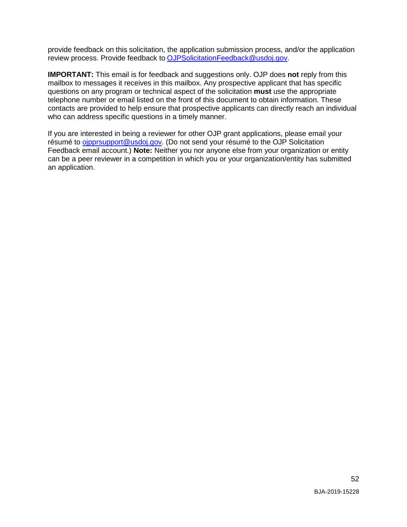provide feedback on this solicitation, the application submission process, and/or the application review process. Provide feedback to [OJPSolicitationFeedback@usdoj.gov.](mailto:OJPSolicitationFeedback@usdoj.gov)

 **IMPORTANT:** This email is for feedback and suggestions only. OJP does **not** reply from this mailbox to messages it receives in this mailbox. Any prospective applicant that has specific telephone number or email listed on the front of this document to obtain information. These who can address specific questions in a timely manner. questions on any program or technical aspect of the solicitation **must** use the appropriate contacts are provided to help ensure that prospective applicants can directly reach an individual

 If you are interested in being a reviewer for other OJP grant applications, please email your résumé to [ojpprsupport@usdoj.gov.](mailto:ojpprsupport@usdoj.gov) (Do not send your résumé to the OJP Solicitation Feedback email account.) **Note:** Neither you nor anyone else from your organization or entity can be a peer reviewer in a competition in which you or your organization/entity has submitted an application.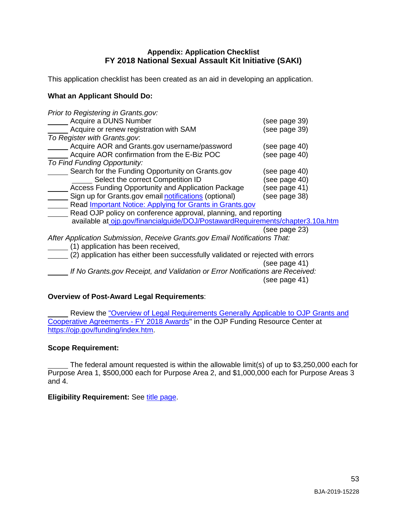### **Appendix: Application Checklist FY 2018 National Sexual Assault Kit Initiative (SAKI)**

<span id="page-53-0"></span>This application checklist has been created as an aid in developing an application.

#### **What an Applicant Should Do:**

| Prior to Registering in Grants.gov:                                            |               |
|--------------------------------------------------------------------------------|---------------|
| Acquire a DUNS Number                                                          | (see page 39) |
| Acquire or renew registration with SAM                                         | (see page 39) |
| To Register with Grants.gov.                                                   |               |
| Acquire AOR and Grants.gov username/password                                   | (see page 40) |
| Acquire AOR confirmation from the E-Biz POC                                    | (see page 40) |
| To Find Funding Opportunity:                                                   |               |
| Search for the Funding Opportunity on Grants.gov                               | (see page 40) |
| Select the correct Competition ID                                              | (see page 40) |
| Access Funding Opportunity and Application Package                             | (see page 41) |
| Sign up for Grants.gov email notifications (optional)                          | (see page 38) |
| Read Important Notice: Applying for Grants in Grants.gov                       |               |
| Read OJP policy on conference approval, planning, and reporting                |               |
| available at ojp.gov/financialguide/DOJ/PostawardRequirements/chapter3.10a.htm |               |
|                                                                                | (see page 23) |
| After Application Submission, Receive Grants.gov Email Notifications That:     |               |
| (1) application has been received,                                             |               |
| (2) application has either been successfully validated or rejected with errors |               |
|                                                                                | (see page 41) |
| If No Grants.gov Receipt, and Validation or Error Notifications are Received:  |               |
|                                                                                | (see page 41) |

### <span id="page-53-1"></span>**Overview of Post-Award Legal Requirements**:

 $\overline{a}$ Review the ["Overview of Legal Requirements Generally Applicable to OJP Grants and](https://ojp.gov/funding/Explore/LegalOverview/index.htm)  [Cooperative Agreements -](https://ojp.gov/funding/Explore/LegalOverview/index.htm) FY 2018 Awards" in the OJP Funding Resource Center at [https://ojp.gov/funding/index.htm.](https://ojp.gov/funding/index.htm)

#### **Scope Requirement:**

 $\overline{a}$  and 4. The federal amount requested is within the allowable limit(s) of up to \$3,250,000 each for Purpose Area 1, \$500,000 each for Purpose Area 2, and \$1,000,000 each for Purpose Areas 3

#### **Eligibility Requirement: See [title page.](#page-1-0)**